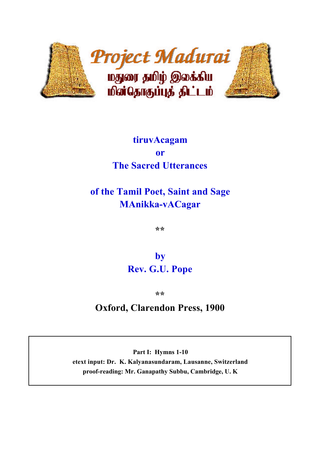

# **tiruvAcagam or The Sacred Utterances**

# **of the Tamil Poet, Saint and Sage MAnikka-vACagar**

**\*\***

**by Rev. G.U. Pope**

**\*\***

# **Oxford, Clarendon Press, 1900**

**Part I: Hymns 1-10 etext input: Dr. K. Kalyanasundaram, Lausanne, Switzerland proof-reading: Mr. Ganapathy Subbu, Cambridge, U. K**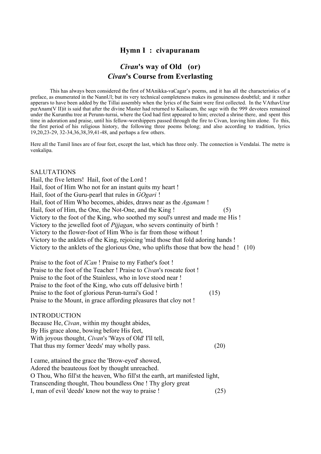# **Hymn I : civapuranam**

# *Civan***'s way of Old (or)** *Civan***'s Course from Everlasting**

This has always been considered the first of MAnikka-vaCagar's poems, and it has all the characteristics of a preface, as enumerated in the NannUl; but its very technical completeness makes its genuineness doubtful; and it rather apperars to have been added by the Tillai assembly when the lyrics of the Saint were first collected. In the VAthavUrar purAnam(V II)it is said that after the divine Master had returned to Kailacam, the sage with the 999 devotees remained under the Kurunthu tree at Perunn-turrai, where the God had first appeared to him; erected a shrine there, and spent this time in adoration and praise, until his fellow-worshippers passed through the fire to Civan, leaving him alone. To this, the first period of his religious history, the following three poems belong; and also according to tradition, lyrics 19,20,23-29, 32-34,36,38,39,41-48, and perhaps a few others.

Here all the Tamil lines are of four feet, except the last, which has three only. The connection is Vendalai. The metre is venkalipa.

#### SALUTATIONS

Hail, the five letters! Hail, foot of the Lord ! Hail, foot of Him Who not for an instant quits my heart ! Hail, foot of the Guru-pearl that rules in *GOgari* ! Hail, foot of Him Who becomes, abides, draws near as the *Agamam* ! Hail, foot of Him, the One, the Not-One, and the King ! (5) Victory to the foot of the King, who soothed my soul's unrest and made me His ! Victory to the jewelled foot of *Pijjagan*, who severs continuity of birth ! Victory to the flower-foot of Him Who is far from those without ! Victory to the anklets of the King, rejoicing 'mid those that fold adoring hands ! Victory to the anklets of the glorious One, who uplifts those that bow the head ! (10)

Praise to the foot of *ICan* ! Praise to my Father's foot ! Praise to the foot of the Teacher ! Praise to *Civan*'s roseate foot ! Praise to the foot of the Stainless, who in love stood near ! Praise to the foot of the King, who cuts off delusive birth ! Praise to the foot of glorious Perun-turrai's God ! (15) Praise to the Mount, in grace affording pleasures that cloy not !

#### INTRODUCTION

Because He, *Civan*, within my thought abides, By His grace alone, bowing before His feet, With joyous thought, *Civan*'s 'Ways of Old' I'll tell, That thus my former 'deeds' may wholly pass. (20)

I came, attained the grace the 'Brow-eyed' showed, Adored the beauteous foot by thought unreached. O Thou, Who fill'st the heaven, Who fill'st the earth, art manifested light, Transcending thought, Thou boundless One ! Thy glory great I, man of evil 'deeds' know not the way to praise ! (25)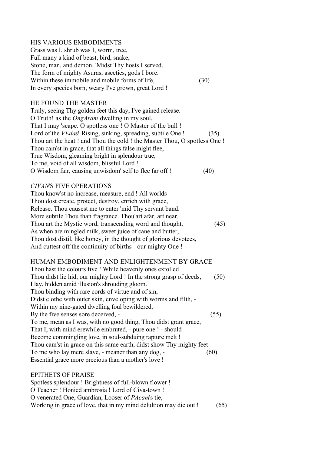#### HIS VARIOUS EMBODIMENTS

Grass was I, shrub was I, worm, tree, Full many a kind of beast, bird, snake, Stone, man, and demon. 'Midst Thy hosts I served. The form of mighty Asuras, ascetics, gods I bore. Within these immobile and mobile forms of life, (30) In every species born, weary I've grown, great Lord !

#### HE FOUND THE MASTER

Truly, seeing Thy golden feet this day, I've gained release. O Truth! as the *OngAram* dwelling in my soul, That I may 'scape. O spotless one ! O Master of the bull ! Lord of the *VEdas*! Rising, sinking, spreading, subtile One ! (35) Thou art the heat ! and Thou the cold ! the Master Thou, O spotless One ! Thou cam'st in grace, that all things false might flee, True Wisdom, gleaming bright in splendour true, To me, void of all wisdom, blissful Lord ! O Wisdom fair, causing unwisdom' self to flee far off ! (40)

#### *CIVAN*'S FIVE OPERATIONS

Thou know'st no increase, measure, end ! All worlds Thou dost create, protect, destroy, enrich with grace, Release. Thou causest me to enter 'mid Thy servant band. More subtile Thou than fragrance. Thou'art afar, art near. Thou art the Mystic word, transcending word and thought. (45) As when are mingled milk, sweet juice of cane and butter, Thou dost distil, like honey, in the thought of glorious devotees, And cuttest off the continuity of births - our mighty One !

#### HUMAN EMBODIMENT AND ENLIGHTENMENT BY GRACE

Thou hast the colours five ! While heavenly ones extolled Thou didst lie hid, our mighty Lord ! In the strong grasp of deeds, (50) I lay, hidden amid illusion's shrouding gloom. Thou binding with rare cords of virtue and of sin, Didst clothe with outer skin, enveloping with worms and filth, - Within my nine-gated dwelling foul bewildered, By the five senses sore deceived,  $-$  (55) To me, mean as I was, with no good thing, Thou didst grant grace, That I, with mind erewhile embruted, - pure one ! - should Become commingling love, in soul-subduing rapture melt ! Thou cam'st in grace on this same earth, didst show Thy mighty feet To me who lay mere slave, - meaner than any dog, - (60) Essential grace more precious than a mother's love !

#### EPITHETS OF PRAISE

Spotless splendour ! Brightness of full-blown flower ! O Teacher ! Honied ambrosia ! Lord of Civa-town ! O venerated One, Guardian, Looser of *PAcam*'s tie, Working in grace of love, that in my mind delultion may die out ! (65)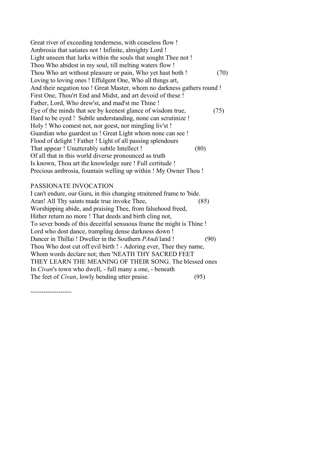Great river of exceeding tenderness, with ceaseless flow ! Ambrosia that satiates not ! Infinite, almighty Lord ! Light unseen that lurks within the souls that sought Thee not ! Thou Who abidest in my soul, till melting waters flow ! Thou Who art without pleasure or pain, Who yet hast both ! (70) Loving to loving ones ! Effulgent One, Who all things art, And their negation too ! Great Master, whom no darkness gathers round ! First One, Thou'rt End and Midst, and art devoid of these ! Father, Lord, Who drew'st, and mad'st me Thine ! Eye of the minds that see by keenest glance of wisdom true, (75) Hard to be eyed ! Subtle understanding, none can scrutinize ! Holy ! Who comest not, nor goest, nor mingling liv'st ! Guardian who guardest us ! Great Light whom none can see ! Flood of delight ! Father ! Light of all passing splendours That appear ! Unutterably subtle Intellect ! (80) Of all that in this world diverse pronounced as truth Is known, Thou art the knowledge sure ! Full certitude ! Precious ambrosia, fountain welling up within ! My Owner Thou !

#### PASSIONATE INVOCATION

I can't endure, our Guru, in this changing straitened frame to 'bide. Aran! All Thy saints made true invoke Thee, (85) Worshipping abide, and praising Thee, from falsehood freed, Hither return no more ! That deeds and birth cling not, To sever bonds of this deceitful sensuous frame the might is Thine ! Lord who dost dance, trampling dense darkness down ! Dancer in Thillai ! Dweller in the Southern *PAndi* land ! (90) Thou Who dost cut off evil birth ! - Adoring ever, Thee they name, Whom words declare not; then 'NEATH THY SACRED FEET THEY LEARN THE MEANING OF THEIR SONG. The blessed ones In *Civan*'s town who dwell, - full many a one, - beneath The feet of *Civan*, lowly bending utter praise. (95)

-------------------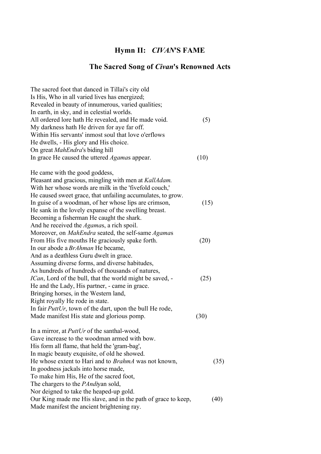# **Hymn II:** *CIVAN***'S FAME**

# **The Sacred Song of** *Civan***'s Renowned Acts**

| The sacred foot that danced in Tillai's city old<br>Is His, Who in all varied lives has energized;<br>Revealed in beauty of innumerous, varied qualities; |      |
|-----------------------------------------------------------------------------------------------------------------------------------------------------------|------|
| In earth, in sky, and in celestial worlds.<br>All ordered lore hath He revealed, and He made void.<br>My darkness hath He driven for aye far off.         | (5)  |
| Within His servants' inmost soul that love o'erflows<br>He dwells, - His glory and His choice.                                                            |      |
| On great <i>MahEndra's</i> biding hill                                                                                                                    |      |
| In grace He caused the uttered <i>Agamas</i> appear.                                                                                                      | (10) |
| He came with the good goddess,                                                                                                                            |      |
| Pleasant and gracious, mingling with men at KallAdam.                                                                                                     |      |
| With her whose words are milk in the 'fivefold couch,'                                                                                                    |      |
| He caused sweet grace, that unfailing accumulates, to grow.                                                                                               |      |
| In guise of a woodman, of her whose lips are crimson,                                                                                                     | (15) |
| He sank in the lovely expanse of the swelling breast.                                                                                                     |      |
| Becoming a fisherman He caught the shark.                                                                                                                 |      |
| And he received the <i>Agamas</i> , a rich spoil.                                                                                                         |      |
| Moreover, on <i>MahEndra</i> seated, the self-same <i>Agamas</i>                                                                                          |      |
| From His five mouths He graciously spake forth.<br>In our abode a <i>BrAhman</i> He became,                                                               | (20) |
| And as a deathless Guru dwelt in grace.                                                                                                                   |      |
| Assuming diverse forms, and diverse habitudes,                                                                                                            |      |
| As hundreds of hundreds of thousands of natures,                                                                                                          |      |
| <i>ICan</i> , Lord of the bull, that the world might be saved, -                                                                                          | (25) |
| He and the Lady, His partner, - came in grace.                                                                                                            |      |
| Bringing horses, in the Western land,                                                                                                                     |      |
| Right royally He rode in state.                                                                                                                           |      |
| In fair $PutUr$ , town of the dart, upon the bull He rode,                                                                                                |      |
| Made manifest His state and glorious pomp.                                                                                                                | (30) |
| In a mirror, at <i>PuttUr</i> of the santhal-wood,                                                                                                        |      |
| Gave increase to the woodman armed with bow.                                                                                                              |      |
| His form all flame, that held the 'gram-bag',                                                                                                             |      |
| In magic beauty exquisite, of old he showed.                                                                                                              |      |
| He whose extent to Hari and to BrahmA was not known,                                                                                                      | (35) |
| In goodness jackals into horse made,                                                                                                                      |      |
| To make him His, He of the sacred foot,                                                                                                                   |      |
| The chargers to the <i>PAndiyan</i> sold,                                                                                                                 |      |
| Nor deigned to take the heaped-up gold.                                                                                                                   |      |
| Our King made me His slave, and in the path of grace to keep,<br>Made manifest the ancient brightening ray.                                               | (40) |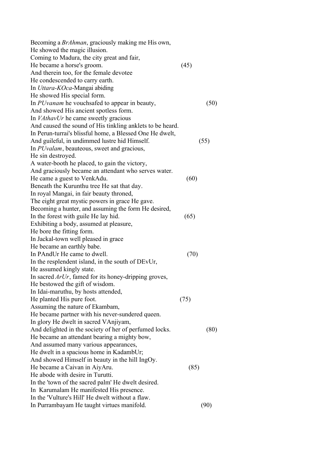| Becoming a <i>BrAhman</i> , graciously making me His own, |      |
|-----------------------------------------------------------|------|
| He showed the magic illusion.                             |      |
| Coming to Madura, the city great and fair,                |      |
| He became a horse's groom.                                | (45) |
| And therein too, for the female devotee                   |      |
| He condescended to carry earth.                           |      |
| In Uttara-KOca-Mangai abiding                             |      |
| He showed His special form.                               |      |
| In <i>PUvanam</i> he vouchsafed to appear in beauty,      | (50) |
| And showed His ancient spotless form.                     |      |
| In <i>VAthavUr</i> he came sweetly gracious               |      |
| And caused the sound of His tinkling anklets to be heard. |      |
| In Perun-turrai's blissful home, a Blessed One He dwelt,  |      |
| And guileful, in undimmed lustre hid Himself.             | (55) |
| In <i>PUvalam</i> , beauteous, sweet and gracious,        |      |
| He sin destroyed.                                         |      |
| A water-booth he placed, to gain the victory,             |      |
| And graciously became an attendant who serves water.      |      |
| He came a guest to VenkAdu.                               | (60) |
| Beneath the Kurunthu tree He sat that day.                |      |
| In royal Mangai, in fair beauty throned,                  |      |
| The eight great mystic powers in grace He gave.           |      |
| Becoming a hunter, and assuming the form He desired,      |      |
| In the forest with guile He lay hid.                      | (65) |
| Exhibiting a body, assumed at pleasure,                   |      |
| He bore the fitting form.                                 |      |
| In Jackal-town well pleased in grace                      |      |
| He became an earthly babe.                                |      |
| In PAndUr He came to dwell.                               | (70) |
| In the resplendent island, in the south of DEvUr,         |      |
| He assumed kingly state.                                  |      |
| In sacred $ArUr$ , famed for its honey-dripping groves,   |      |
| He bestowed the gift of wisdom.                           |      |
| In Idai-maruthu, by hosts attended,                       |      |
| He planted His pure foot.                                 | (75) |
| Assuming the nature of Ekambam,                           |      |
| He became partner with his never-sundered queen.          |      |
| In glory He dwelt in sacred VAnjiyam,                     |      |
| And delighted in the society of her of perfumed locks.    | (80) |
| He became an attendant bearing a mighty bow,              |      |
| And assumed many various appearances,                     |      |
| He dwelt in a spacious home in KadambUr;                  |      |
| And showed Himself in beauty in the hill IngOy.           |      |
| He became a Caivan in AiyAru.                             | (85) |
| He abode with desire in Turutti.                          |      |
| In the 'town of the sacred palm' He dwelt desired.        |      |
| In Karumalam He manifested His presence.                  |      |
| In the 'Vulture's Hill' He dwelt without a flaw.          |      |
| In Purrambayam He taught virtues manifold.                | (90) |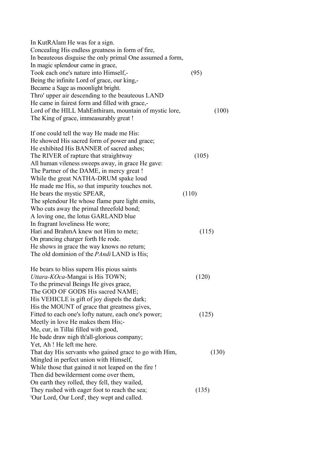| In KutRAlam He was for a sign.                            |       |
|-----------------------------------------------------------|-------|
| Concealing His endless greatness in form of fire,         |       |
| In beauteous disguise the only primal One assumed a form, |       |
| In magic splendour came in grace,                         |       |
| Took each one's nature into Himself,-                     | (95)  |
| Being the infinite Lord of grace, our king,-              |       |
| Became a Sage as moonlight bright.                        |       |
| Thro' upper air descending to the beauteous LAND          |       |
| He came in fairest form and filled with grace,-           |       |
| Lord of the HILL MahEnthiram, mountain of mystic lore,    | (100) |
| The King of grace, immeasurably great!                    |       |
|                                                           |       |
| If one could tell the way He made me His:                 |       |
| He showed His sacred form of power and grace;             |       |
| He exhibited His BANNER of sacred ashes;                  |       |
| The RIVER of rapture that straightway                     | (105) |
| All human vileness sweeps away, in grace He gave:         |       |
| The Partner of the DAME, in mercy great!                  |       |
| While the great NATHA-DRUM spake loud                     |       |
| He made me His, so that impurity touches not.             |       |
| He bears the mystic SPEAR,                                | (110) |
| The splendour He whose flame pure light emits,            |       |
| Who cuts away the primal threefold bond;                  |       |
| A loving one, the lotus GARLAND blue                      |       |
| In fragrant loveliness He wore;                           |       |
| Hari and BrahmA knew not Him to mete;                     | (115) |
|                                                           |       |
| On prancing charger forth He rode.                        |       |
| He shows in grace the way knows no return;                |       |
| The old dominion of the <i>PAndi</i> LAND is His;         |       |
| He bears to bliss supern His pious saints                 |       |
| Uttara-KOca-Mangai is His TOWN;                           | (120) |
| To the primeval Beings He gives grace,                    |       |
| The GOD OF GODS His sacred NAME;                          |       |
| His VEHICLE is gift of joy dispels the dark;              |       |
| His the MOUNT of grace that greatness gives,              |       |
| Fitted to each one's lofty nature, each one's power;      | (125) |
| Meetly in love He makes them His;-                        |       |
| Me, cur, in Tillai filled with good,                      |       |
| He bade draw nigh th'all-glorious company;                |       |
| Yet, Ah ! He left me here.                                |       |
|                                                           |       |
| That day His servants who gained grace to go with Him,    | (130) |
| Mingled in perfect union with Himself,                    |       |
| While those that gained it not leaped on the fire !       |       |
| Then did bewilderment come over them,                     |       |
| On earth they rolled, they fell, they wailed,             |       |
| They rushed with eager foot to reach the sea;             | (135) |
| 'Our Lord, Our Lord', they wept and called.               |       |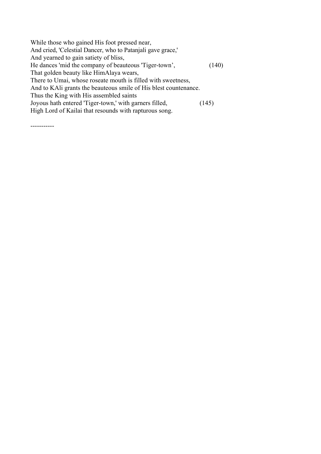| While those who gained His foot pressed near,                    |       |
|------------------------------------------------------------------|-------|
| And cried, 'Celestial Dancer, who to Patanjali gave grace,'      |       |
| And yearned to gain satiety of bliss,                            |       |
| He dances 'mid the company of beauteous 'Tiger-town',            | (140) |
| That golden beauty like HimAlaya wears,                          |       |
| There to Umai, whose roseate mouth is filled with sweetness,     |       |
| And to KAIi grants the beauteous smile of His blest countenance. |       |
| Thus the King with His assembled saints                          |       |
| Joyous hath entered 'Tiger-town,' with garners filled,           | (145) |
| High Lord of Kailai that resounds with rapturous song.           |       |
|                                                                  |       |

-----------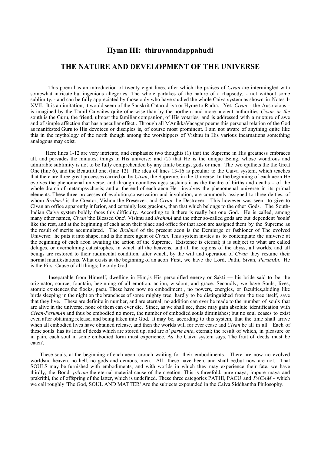#### **Hymn III: thiruvanndappahudi**

#### **THE NATURE AND DEVELOPMENT OF THE UNIVERSE**

 This poem has an introduction of twenty eight lines, after which the praises of *Civan* are intermingled with somewhat intricate but ingenious allegories. The whole partakes of the nature of a rhapsody, - not without some sublimity, - and can be fully appreciated by those only who have studied the whole Caiva system as shown in Notes I-XVII. It is an imitation, it would seem of the Sanskrit Catarudriya or Hyme to Rudra. Yet, *Civan* - the Auspicious is imagined by the Tamil Caivaites quite otherwise than by the northern and more ancient authorities *Civan in the* south is the Guru, the friend, ulmost the familiar companion, of His votaries, and is addressed with a mixture of awe and of simple affection that has a peculiar effect . Through all MAnikkaVacagar poems this personal relation of the God as manifested Guru to His devotees or disciples is, of course most prominent. I am not aware of anything quite like this in the mythology of the north though among the worshippers of Vishnu in His various incarnations something analogous may exist.

 Here lines 1-12 are very intricate, and emphasize two thoughts (1) that the Supreme in His greatness embraces all, and pervades the minutest things in His universe; and (2) that He is the unique Being, whose wondrous and admirable sublimity is not to be fully comprehended by any finite beings, gods or men. The two epithets the the Great One (line 6), and the Beautiful one. (line 12). The idea of lines 13-16 is peculiar to the Caiva system, which teaches that there are three great processes carried on by *Civan*, the Supreme, in the Universe. In the beginning of each aeon He evolves the phenomenal universe, and through countless ages sustains it as the theatre of births and deaths - of the whole drama of metampsychosis; and at the end of each aeon He involves the phenomenal universe in its primal elements. These three processes of evolution,conservation and involution, are commonly assigned to three deities, of whom *BrahmA* is the Creator, Vishnu the Preserver, and *Civan* the Destroyer. This however was seen to give to Civan an office apparently inferior, and certainly less gracious, than that which belongs to the other Gods. The South-Indian Caiva system boldly faces this difficulty. According to it there is really but one God. He is called, among many other names, *Civan* 'the Blessed One'. Vishnu and *BrahmA* and the other so-called gods are but dependent 'souls' like the rest, and at the beginning of each aeon their place and office for that aeon are assigned them by the Supreme as the result of merits accumulated. The *BrahmA* of the present aeon is the Demiurge or fashioner of The evolved Universe: he puts it into shape, and is the mere agent of *Civan*. This system invites us to contemplate the universe at the beginning of each aeon awaiting the action of the Supreme. Existence is eternal; it is subject to what are called deluges, or overhelming catastrophes, in which all the heavens, and all the regions of the abyss, all worlds, and all beings are restored to their rudimental condition, after which, by the will and operation of *Civan* they resume their normal manifestations. What exists at the beginning of an aeon First, we have the Lord, Pathi, Sivan, *PerumAn*. He is the First Cause of all things;the only God.

 Inseparable from Himself, dwelling in Him,is His personified energy or Sakti --- his bride said to be the originator, source, fountain, beginning of all emotion, action, wisdom, and grace. Secondly, we have Souls, lives, atomic existences,the flocks, pacu. These have now no embodiment , no powers, energies, or faculties,abiding like birds sleeping in the night on the branchces of some mighty tree, hardly to be distinguished from the tree itself, save that they live. These are definite in number, and are eternal; no addition can ever be made to the number of souls that are alive in the universe, none of them can ever die. Since, as we shall see, these may gain absolute identification with *Civan*-*PerumAn* and thus be embodied no more, the number of embodied souls diminishes; but no soul ceases to exist even after obtaining release, and being taken into God. It may be, according to this system, that the time shall arrive when all embodied lives have obtained release, and then the worlds will for ever cease and *Civan* be all in all. Each of these souls has its load of deeds which are stored up, and are *a' parte ante*, eternal; the result of which, in pleasure or in pain, each soul in some embodied form must experience. As the Caiva system says, The fruit of deeds must be eaten'.

 These souls, at the beginning of each aeon, crouch waiting for their embodiments. There are now no evolved worldsno heaven, no hell, no gods and demons, men. All these have been, and shall be,but now are not. That SOULS may be furnished with embodiments, and with worlds in which they may experience their fate, we have thirdly, the Bond, *pAcam* the eternal material cause of the creation. This is threefold, pure maya, impure maya and prakrithi, the of offspring of the latter, which is undefined. These three categories PATHI, PACU and *PACAM* - which we call roughly 'The God, SOUL AND MATTER' Are the subjects expounded in the Caiva Siddhantha Philosophy.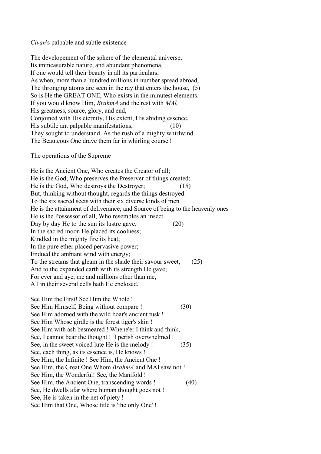#### *Civan*'s palpable and subtle existence

The developement of the sphere of the elemental universe, Its immeasurable nature, and abundant phenomena, If one would tell their beauty in all its particulars, As when, more than a hundred millions in number spread abroad, The thronging atoms are seen in the ray that enters the house, (5) So is He the GREAT ONE, Who exists in the minutest elements. If you would know Him, *BrahmA* and the rest with *MAl*, His greatness, source, glory, and end, Conjoined with His eternity, His extent, His abiding essence, His subtile ant palpable manifestations, (10) They sought to understand. As the rush of a mighty whirlwind The Beauteous One drave them far in whirling course !

The operations of the Supreme

He is the Ancient One, Who creates the Creator of all; He is the God, Who preserves the Preserver of things created; He is the God, Who destroys the Destroyer; (15) But, thinking without thought, regards the things destroyed. To the six sacred sects with their six diverse kinds of men He is the attainment of deliverance; and Source of being to the heavenly ones He is the Possessor of all, Who resembles an insect. Day by day He to the sun its lustre gave. (20) In the sacred moon He placed its coolness; Kindled in the mighty fire its heat; In the pure ether placed pervasive power; Endued the ambiant wind with energy; To the streams that gleam in the shade their savour sweet, (25) And to the expanded earth with its strength He gave; For ever and aye, me and millions other than me, All in their several cells hath He enclosed.

See Him the First! See Him the Whole ! See Him Himself, Being without compare ! (30) See Him adorned with the wild boar's ancient tusk ! See Him Whose girdle is the forest tiger's skin ! See Him with ash besmeared ! Whene'er I think and think, See, I cannot bear the thought ! I perish overwhelmed ! See, in the sweet voiced lute He is the melody ! (35) See, each thing, as its essence is, He knows ! See Him, the Infinite ! See Him, the Ancient One ! See Him, the Great One Whom *BrahmA* and MAl saw not ! See Him, the Wonderful! See, the Manifold ! See Him, the Ancient One, transcending words ! (40) See, He dwells afar where human thought goes not ! See, He is taken in the net of piety ! See Him that One, Whose title is 'the only One' !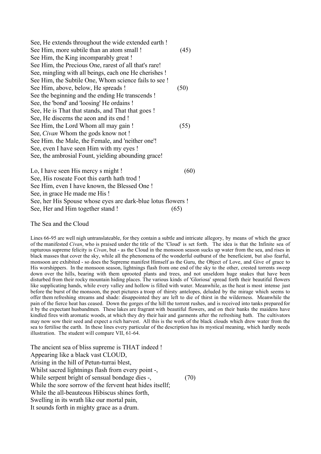| See, He extends throughout the wide extended earth!    |      |
|--------------------------------------------------------|------|
| See Him, more subtile than an atom small!              | (45) |
| See Him, the King incomparably great!                  |      |
| See Him, the Precious One, rarest of all that's rare!  |      |
| See, mingling with all beings, each one He cherishes ! |      |
| See Him, the Subtile One, Whom science fails to see !  |      |
| See Him, above, below, He spreads!                     | (50) |
| See the beginning and the ending He transcends!        |      |
| See, the 'bond' and 'loosing' He ordains!              |      |
| See, He is That that stands, and That that goes!       |      |
| See, He discerns the aeon and its end !                |      |
| See Him, the Lord Whom all may gain!                   | (55) |
| See, <i>Civan</i> Whom the gods know not !             |      |
| See Him. the Male, the Female, and 'neither one'!      |      |
| See, even I have seen Him with my eyes !               |      |
| See, the ambrosial Fount, yielding abounding grace!    |      |
| Lo, I have seen His mercy s might!                     | [60] |
| See, His roseate Foot this earth hath trod !           |      |
|                                                        |      |

See Him, even I have known, the Blessed One ! See, in grace He made me His ! See, her His Spouse whose eyes are dark-blue lotus flowers !

See, Her and Him together stand ! (65)

The Sea and the Cloud

Lines 66-95 are well nigh untranslateable, for they contain a subtle and intricate allegory, by means of which the grace of the manifested *Civan*, who is praised under the title of the 'Cloud' is set forth. The idea is that the Infinite sea of rapturous supreme felicity is *Civan*, but - as the Cloud in the monsoon season sucks up water from the sea, and rises in black masses that cover the sky, while all the phenomena of the wonderful outburst of the beneficient, but also fearful, monsoon are exhibited - so does the Supreme manifest Himself as the Guru, the Object of Love, and Give of grace to His worshippers. In the monsoon season, lightnings flash from one end of the sky to the other, crested torrents sweep down over the hills, bearing with them uprooted plants and trees, and not unseldom huge snakes that have been disturbed from their rocky mountain hiding places. The various kinds of 'Gloriosa' spread forth their beautiful flowers like supplicating hands, while every valley and hollow is filled with water. Meanwhile, as the heat is most intense just before the burst of the monsoon, the poet pictures a troop of thirsty antelopes, deluded by the mirage which seems to offer them refreshing streams and shade: disappointed they are left to die of thirst in the wilderness. Meanwhile the pain of the fierce heat has ceased. Down the gorges of the hill the torrent rushes, and is received into tanks prepared for it by the expectant husbandmen. These lakes are fragrant with beautiful flowers, and on their banks the maidens have kindled fires with aromatic woods, at which they dry their hair and garments after the refreshing bath. The cultivators may now sow their seed and expect a rich harvest. All this is the work of the black clouds which drew water from the sea to fertilise the earth. In these lines every particular of the description has its mystical meaning, which hardly needs illustration. The student will compare VII, 61-64.

The ancient sea of bliss supreme is THAT indeed ! Appearing like a black vast CLOUD, Arising in the hill of Petun-turrai blest, Whilst sacred lightnings flash frorn every point -, While serpent bright of sensual bondage dies -,  $(70)$ While the sore sorrow of the fervent heat hides itsellf; While the all-beauteous Hibiscus shines forth, Swelling in its wrath like our mortal pain, It sounds forth in mighty grace as a drum.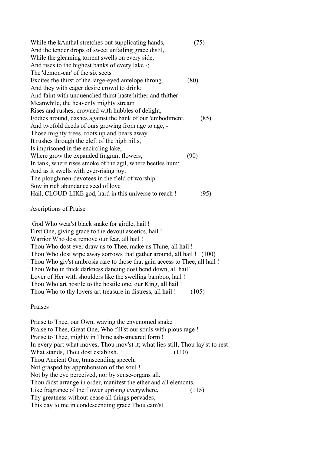| While the kAnthal stretches out supplicating hands,        | (75) |
|------------------------------------------------------------|------|
| And the tender drops of sweet unfailing grace distil,      |      |
| While the gleaming torrent swells on every side,           |      |
| And rises to the highest banks of every lake -;            |      |
| The 'demon-car' of the six sects                           |      |
| Excites the thirst of the large-eyed antelope throng.      | (80) |
| And they with eager desire crowd to drink;                 |      |
| And faint with unquenched thirst haste hither and thither: |      |
| Meanwhile, the heavenly mighty stream                      |      |
| Rises and rushes, crowned with hubbles of delight,         |      |
| Eddies around, dashes against the bank of our 'embodiment, | (85) |
| And twofold deeds of ours growing from age to age, -       |      |
| Those mighty trees, roots up and bears away.               |      |
| It rushes through the cleft of the high hills,             |      |
| Is imprisoned in the encircling lake,                      |      |
| Where grow the expanded fragrant flowers,                  | (90) |
| In tank, where rises smoke of the agil, where beetles hum; |      |
| And as it swells with ever-rising joy,                     |      |
| The ploughmen-devotees in the field of worship             |      |
| Sow in rich abundance seed of love                         |      |
| Hail, CLOUD-LIKE god, hard in this universe to reach!      | 95)  |

#### Ascriptions of Praise

 God Who wear'st black snake for girdle, hail ! First One, giving grace to the devout ascetics, hail ! Warrior Who dost remove our fear, all hail ! Thou Who dost ever draw us to Thee, make us Thine, all hail ! Thou Who dost wipe away sorrows that gather around, all hail ! (100) Thou Who giv'st ambrosia rare to those that gain access to Thee, all hail ! Thou Who in thick darkness dancing dost bend down, all hail! Lover of Her with shoulders like the swelling bamboo, hail ! Thou Who art hostile to the hostile one, our King, all hail ! Thou Who to thy lovers art treasure in distress, all hail ! (105)

Praises

Praise to Thee, our Own, waving thc envenomcd snake ! Praise to Thee, Great One, Who fill'st our souls with pious rage ! Praise to Thee, mighty in Thine ash-smeared form ! In every part what moves, Thou mov'st it; what lies still, Thou lay'st to rest What stands. Thou dost establish. (110) Thou Ancient One, transcending speech, Not grasped by apprehension of the soul ! Not by the eye perceived, nor by sense-organs all. Thou didst arrange in order, manifest the ether and all elemcnts. Like fragrance of the flower uprising everywhere,  $(115)$ Thy greatness without cease all things pervades, This day to me in condescending grace Thou cam'st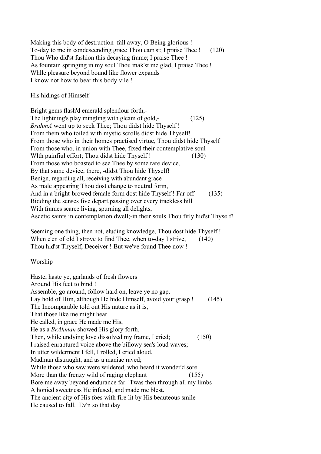Making this body of destruction fall away, O Being glorious ! To-day to me in condescending grace Thou cam'st; I praise Thee ! (120) Thou Who did'st fashion this decaying frame; I praise Thee ! As fountain springing in my soul Thou mak'st me glad, I praise Thee ! Whlle pleasure beyond bound like flower expands I know not how to bear this body vile !

His hidings of Himself

Bright gems flash'd emerald splendour forth,- The lightning's play mingling with gleam of gold,- (125) *BrahmA* went up to seek Thee; Thou didst hide Thyself ! From them who toiled with mystic scrolls didst hide Thyself! From those who in their homes practised virtue, Thou didst hide Thyself From those who, in union with Thee, fixed their contemplative soul Wlth painfiul effort; Thou didst hide Thyself ! (130) From those who boasted to see Thee by some rare device, By that same device, there, -didst Thou hide Thyself! Benign, regarding all, receiving with abundant grace As male appearing Thou dost change to neutral form, And in a bright-browed female form dost hide Thyself ! Far off (135) Bidding the senses five depart,passing over every trackless hill With frames scarce living, spurning all delights, Ascetic saints in contemplation dwell;-in their souls Thou fitly hid'st Thyself!

Seeming one thing, then not, eluding knowledge, Thou dost hide Thyself ! When e'en of old I strove to find Thee, when to-day I strive, (140) Thou hid'st Thyself, Deceiver ! But we've found Thee now !

Worship

Haste, haste ye, garlands of fresh flowers Around His feet to bind ! Assemble, go around, follow hard on, leave ye no gap. Lay hold of Him, although He hide Himself, avoid your grasp ! (145) The Incomparable told out His nature as it is, That those like me might hear. He called, in grace He made me His, He as a *BrAhman* showed His glory forth, Then, while undying love dissolved my frame, I cried; (150) I raised enraptured voice above the billowy sea's loud waves; In utter wilderment I fell, I rolled, I cried aloud, Madman distraught, and as a maniac raved; While those who saw were wildered, who heard it wonder'd sore. More than the frenzy wild of raging elephant (155) Bore me away beyond endurance far. 'Twas then through all my limbs A honied sweetness He infused, and made me blest. The ancient city of His foes with fire lit by His beauteous smile He caused to fall. Ev'n so that day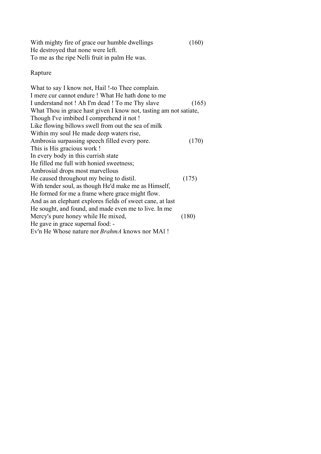| With mighty fire of grace our humble dwellings | (160) |
|------------------------------------------------|-------|
| He destroyed that none were left.              |       |
| To me as the ripe Nelli fruit in palm He was.  |       |

# Rapture

| What to say I know not, Hail !-to Thee complain.                  |       |
|-------------------------------------------------------------------|-------|
| I mere cur cannot endure ! What He hath done to me                |       |
| I understand not ! Ah I'm dead ! To me Thy slave                  | (165) |
| What Thou in grace hast given I know not, tasting am not satiate, |       |
| Though I've imbibed I comprehend it not !                         |       |
| Like flowing billows swell from out the sea of milk               |       |
| Within my soul He made deep waters rise,                          |       |
| Ambrosia surpassing speech filled every pore.                     | (170) |
| This is His gracious work !                                       |       |
| In every body in this currish state                               |       |
| He filled me full with honied sweetness;                          |       |
| Ambrosial drops most marvellous                                   |       |
| He caused throughout my being to distil.                          | (175) |
| With tender soul, as though He'd make me as Himself,              |       |
| He formed for me a frame where grace might flow.                  |       |
| And as an elephant explores fields of sweet cane, at last         |       |
| He sought, and found, and made even me to live. In me             |       |
| Mercy's pure honey while He mixed,                                | (180) |
| He gave in grace supernal food: -                                 |       |
| Ev'n He Whose nature nor <i>BrahmA</i> knows nor MA1!             |       |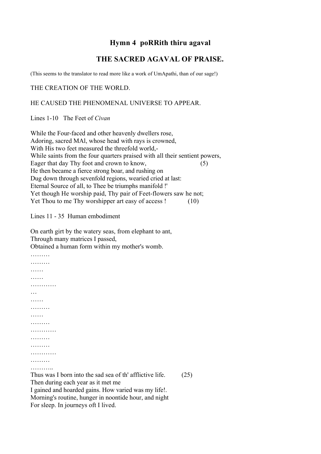# **Hymn 4 poRRith thiru agaval**

# **THE SACRED AGAVAL OF PRAISE.**

(This seems to the translator to read more like a work of UmApathi, than of our sage!)

THE CREATION OF THE WORLD.

#### HE CAUSED THE PHENOMENAL UNIVERSE TO APPEAR.

Lines 1-10 The Feet of *Civan*

While the Four-faced and other heavenly dwellers rose, Adoring, sacred MAl, whose head with rays is crowned, With His two feet measured the threefold world,- While saints from the four quarters praised with all their sentient powers, Eager that day Thy foot and crown to know, (5) He then became a fierce strong boar, and rushing on Dug down through sevenfold regions, wearied cried at last: Eternal Source of all, to Thee be triumphs manifold !' Yet though He worship paid, Thy pair of Feet-flowers saw he not; Yet Thou to me Thy worshipper art easy of access ! (10)

Lines 11 - 35 Human embodiment

………

On earth girt by the watery seas, from elephant to ant, Through many matrices I passed,

Obtained a human form within my mother's womb.

………… …… …………… … …… ………… …… ……… ………… ………… ……… …………… ………… ………

Thus was I born into the sad sea of th' afflictive life. (25) Then during each year as it met me I gained and hoarded gains. How varied was my life!. Morning's routine, hunger in noontide hour, and night For sleep. In journeys oft I lived.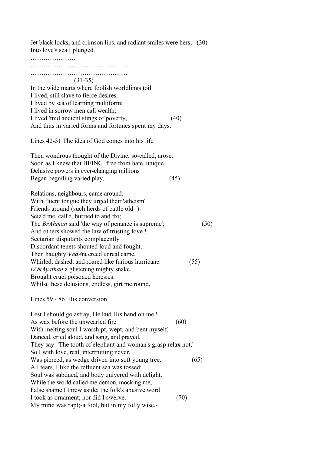Jet black locks, and crimson lips, and radiant smiles were hers; (30) Into love's sea I plunged.

……………………… …………………………………………… ……………………………………… ……….. (31-35) In the wide marts where foolish worldlings toil I lived, still slave to fierce desires. I lived by sea of learning multiform; I lived in sorrow men call wealth; I lived 'mid ancient stings of poverty, (40) And thus in varied forms and fortunes spent my days. Lines 42-51 The idea of God comes into his life Then wondrous thought of the Divine, so-called, arose. Soon as I knew that BEING, free from hate, unique, Delusive powers in ever-changing millions Began beguiling varied play. (45) Relations, neighbours, came around, With fluent tongue they urged their 'atheism' Friends around (such herds of cattle old !)- Seiz'd me, call'd, hurried to and fro; The *BrAhman* said 'the way of penance is supreme'; (50) And others showed the law of trusting love ! Sectarian disputants complacently Discordant tenets shouted loud and fought. Then haughty *VedA*nt creed unreal came, Whirled, dashed, and roared like furious hurricane. (55) *LOkAyathan* a glistening mighty snake Brought cruel poisoned heresies. Whilst these delusions, endless, girt me round,

Lines 59 - 86 His conversion

Lest I should go astray, He laid His hand on me ! As wax before the unwearied fire (60) With melting soul I worshipt, wept, and bent myself, Danced, cried aloud, and sang, and prayed. They say: 'The tooth of elephant and woman's grasp relax not,' So I with love, real, interrnitting never, Was pierced, as wedge driven into soft young tree. (65) All tears, I like the refluent sea was tossed; Soul was subdued, and body quivered with delight. While the world called me demon, mocking me, False shame I threw aside; the folk's abusive word I took as ornament; nor did I swerve. (70) My mind was rapt;-a fool, but in my folly wise,-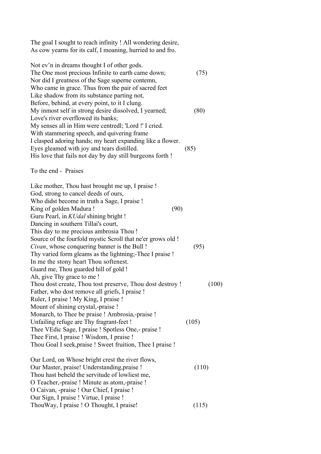The goal I sought to reach infinity ! All wondering desire, As cow yearns for its calf, I moaning, hurried to and fro.

| Not ev'n in dreams thought I of other gods.                |              |
|------------------------------------------------------------|--------------|
| The One most precious Infinite to earth came down;         | 75)          |
| Nor did I greatness of the Sage superne contemn,           |              |
| Who came in grace. Thus from the pair of sacred feet       |              |
| Like shadow from its substance parting not,                |              |
| Before, behind, at every point, to it I clung.             |              |
| My inmost self in strong desire dissolved, I yearned;      | $80^{\circ}$ |
| Love's river overflowed its banks;                         |              |
| My senses all in Him were centredl; 'Lord!' I cried.       |              |
| With stammering speech, and quivering frame                |              |
| I clasped adoring hands; my heart expanding like a flower. |              |
| Eyes gleamed with joy and tears distilled.                 | (85)         |
| His love that fails not day by day still burgeons forth!   |              |

To the end - Praises

Like mother, Thou hast brought me up, I praise ! God, strong to cancel deeds of ours, Who didst become in truth a Sage, I praise ! King of golden Madura ! (90) Guru Pearl, in *KUdal* shining bright ! Dancing in southern Tillai's court, This day to me precious ambrosia Thou ! Source of the fourfold mystic Scroll that ne'er grows old ! *Civan*, whose conquering banner is the Bull ! (95) Thy varied form gleams as the lightning;-Thee I praise ! In me the stony heart Thou softenest. Guard me, Thou guarded hill of gold ! Ah, give Thy grace to me ! Thou dost create, Thou tost preserve, Thou dost destroy ! (100) Father, who dost remove all griefs, I praise ! Ruler, I praise ! My King, I praise ! Mount of shining crystal,-praise ! Monarch, to Thee be praise ! Ambrosia,-praise ! Unfailing refuge are Thy fragrant-feet ! (105) Thee VEdic Sage, I praise ! Spotless One,- praise ! Thee First, I praise ! Wisdom, I praise ! Thou Goal I seek,praise ! Sweet fruition, Thee I praise ! Our Lord, on Whose bright crest the river flows, Our Master, praise! Understanding,praise ! (110) Thou hast beheld the servitude of lowliest me, O Teacher,-praise ! Minute as atom,-praise ! O Caivan, -praise ! Our Chief, I praise ! Our Sign, I praise ! Virtue, I praise ! ThouWay, I praise ! O Thought, I praise! (115)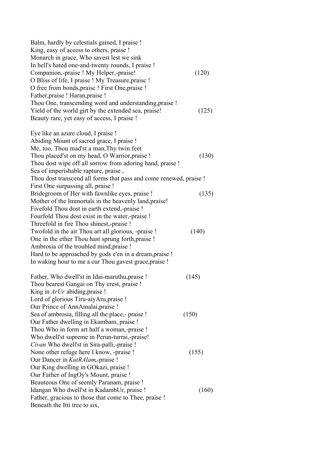| Balm, hardly by celestials gained, I praise !<br>King, easy of access to others, praise !<br>Monarch in grace, Who savest lest we sink |       |
|----------------------------------------------------------------------------------------------------------------------------------------|-------|
| In hell's hated one-and-twenty rounds, I praise !                                                                                      |       |
| Companion,-praise ! My Helper,-praise!                                                                                                 | (120) |
| O Bliss of life, I praise ! My Treasure, praise !                                                                                      |       |
| O free from bonds, praise ! First One, praise !                                                                                        |       |
| Father, praise ! Haran, praise !                                                                                                       |       |
| Thou One, transcending word and understanding, praise !                                                                                |       |
| Yield of the world girt by the extended sea, praise!                                                                                   | (125) |
| Beauty rare, yet easy of access, I praise !                                                                                            |       |
| Eye like an azure cloud, I praise !                                                                                                    |       |
| Abiding Mount of sacred grace, I praise !                                                                                              |       |
| Me, too, Thou mad'st a man, Thy twin feet                                                                                              |       |
| Thou placed'st on my head, O Warrior, praise !                                                                                         | (130) |
| Thou dost wipe off all sorrow from adoring hand, praise !                                                                              |       |
| Sea of imperishable rapture, praise,                                                                                                   |       |
| Thou dost transcend all forms that pass and come renewed, praise !                                                                     |       |
| First One surpassing all, praise !                                                                                                     |       |
| Bridegroom of Her with fawnlike eyes, praise !                                                                                         | (135) |
| Mother of the Immortals in the heavenly land, praise!                                                                                  |       |
| Fivefold Thou dost in earth extend, praise !                                                                                           |       |
| Fourfold Thou dost exist in the water,-praise !                                                                                        |       |
| Threefold in fire Thou shinest,-praise !                                                                                               |       |
| Twofold in the air Thou art all glorious, -praise !                                                                                    | (140) |
| One in the ether Thou hast sprung forth, praise !                                                                                      |       |
| Ambrosia of the troubled mind, praise !                                                                                                |       |
| Hard to be approached by gods e'en in a dream, praise !                                                                                |       |
| In waking hour to me a cur Thou gavest grace, praise !                                                                                 |       |
| Father, Who dwell'st in Idai-maruthu, praise !                                                                                         | (145) |
| Thou bearest Gangai on Thy crest, praise !                                                                                             |       |
| King in $ArUr$ abiding, praise !                                                                                                       |       |
| Lord of glorious Tiru-aiyAru, praise !                                                                                                 |       |
| Our Prince of AnnAmalai, praise !                                                                                                      |       |
| Sea of ambrosia, filling all the place,- praise !                                                                                      | (150) |
| Our Father dwelling in Ekambam, praise !                                                                                               |       |
| Thou Who in form art half a woman,-praise !                                                                                            |       |
| Who dwell'st supreme in Perun-turrai,-praise!                                                                                          |       |
| Civan Who dwell'st in Sira-palli,-praise !                                                                                             |       |
| None other refuge here I know, -praise !                                                                                               | (155) |
| Our Dancer in <i>KutRAlam</i> ,-praise !                                                                                               |       |
| Our King dwelling in GOkazi, praise !                                                                                                  |       |
| Our Father of IngOy's Mount, praise !                                                                                                  |       |
| Beauteous One of seemly Paranam, praise !                                                                                              |       |
| Idangan Who dwell'st in KadambUr, praise !                                                                                             | (160) |
| Father, gracious to those that come to Thee, praise !                                                                                  |       |
| Beneath the Itti tree to six,                                                                                                          |       |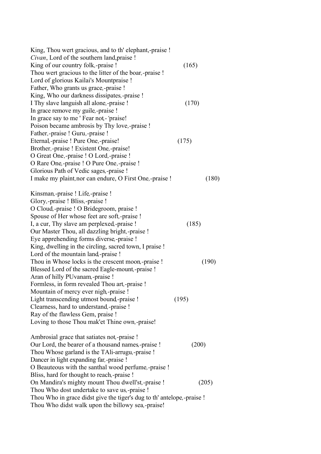| King, Thou wert gracious, and to th' elephant,-praise !                 |       |
|-------------------------------------------------------------------------|-------|
| Civan, Lord of the southern land, praise !                              |       |
| King of our country folk,-praise !                                      | (165) |
| Thou wert gracious to the litter of the boar,-praise !                  |       |
| Lord of glorious Kailai's Mountpraise !                                 |       |
| Father, Who grants us grace,-praise !                                   |       |
| King, Who our darkness dissipates,-praise !                             |       |
| I Thy slave languish all alone,-praise !                                | (170) |
| In grace remove my guile,-praise !                                      |       |
| In grace say to me 'Fear not - 'praise!                                 |       |
| Poison became ambrosis by Thy love,-praise !                            |       |
| Father,-praise ! Guru,-praise !                                         |       |
| Eternal,-praise ! Pure One,-praise!                                     | (175) |
| Brother,-praise ! Existent One,-praise!                                 |       |
| O Great One,-praise ! O Lord,-praise !                                  |       |
| O Rare One,-praise ! O Pure One,-praise !                               |       |
| Glorious Path of Vedic sages,-praise !                                  |       |
| I make my plaint, nor can endure, O First One, -praise !                | (180) |
|                                                                         |       |
| Kinsman,-praise ! Life,-praise !                                        |       |
| Glory,-praise ! Bliss,-praise !                                         |       |
| O Cloud, -praise ! O Bridegroom, praise !                               |       |
| Spouse of Her whose feet are soft,-praise !                             |       |
| I, a cur, Thy slave am perplexed, -praise !                             | (185) |
| Our Master Thou, all dazzling bright,-praise !                          |       |
| Eye apprehending forms diverse, -praise !                               |       |
| King, dwelling in the circling, sacred town, I praise !                 |       |
| Lord of the mountain land, praise !                                     |       |
| Thou in Whose locks is the crescent moon,-praise !                      | (190) |
| Blessed Lord of the sacred Eagle-mount,-praise !                        |       |
| Aran of hilly PUvanam,-praise !                                         |       |
|                                                                         |       |
| Formless, in form revealed Thou art,-praise !                           |       |
| Mountain of mercy ever nigh,-praise !                                   |       |
| Light transcending utmost bound,-praise !                               | (195) |
| Clearness, hard to understand, -praise !                                |       |
| Ray of the flawless Gem, praise !                                       |       |
| Loving to those Thou mak'et Thine own,-praise!                          |       |
| Ambrosial grace that satiates not,-praise !                             |       |
| Our Lord, the bearer of a thousand names,-praise !                      | (200) |
| Thou Whose garland is the TAIi-arrugu,-praise !                         |       |
| Dancer in light expanding far,-praise !                                 |       |
| O Beauteous with the santhal wood perfume,-praise !                     |       |
|                                                                         |       |
| Bliss, hard for thought to reach, -praise !                             |       |
| On Mandira's mighty mount Thou dwell'st,-praise !                       | (205) |
| Thou Who dost undertake to save us,-praise !                            |       |
| Thou Who in grace didst give the tiger's dug to th' antelope, -praise ! |       |
| Thou Who didst walk upon the billowy sea,-praise!                       |       |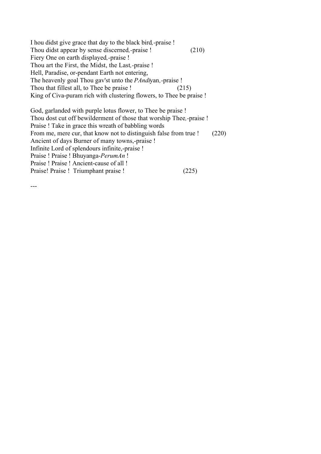I hou didst give grace that day to the black bird*,-*praise ! Thou didst appear by sense discerned*,-*praise ! (210) Fiery One on earth displayed*,-*praise ! Thou art the First, the Midst, the Last*,-*praise ! Hell, Paradise, or-pendant Earth not entering, The heavenly goal Thou gav'st unto the *PAndi*yan*,-*praise ! Thou that fillest all, to Thee be praise ! (215) King of Civa-puram rich with clustering flowers, to Thee be praise !

God, garlanded with purple lotus flower, to Thee be praise ! Thou dost cut off bewilderment of those that worship Thee*,-*praise ! Praise ! Take in grace this wreath of babbling words From me, mere cur, that know not to distinguish false from true ! (220) Ancient of days Burner of many towns,-praise ! Infinite Lord of splendours infinite,-praise ! Praise ! Praise ! Bhuyanga-*PerumAn* ! Praise ! Praise ! Ancient-cause of all ! Praise! Praise ! Triumphant praise ! (225)

---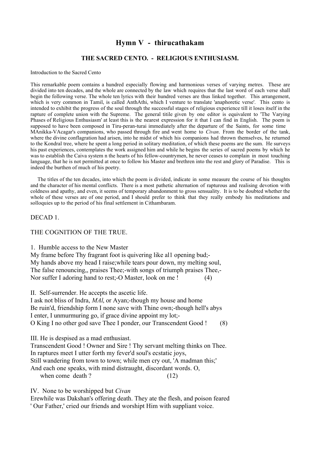## **Hymn V - thirucathakam**

#### **THE SACRED CENTO. - RELIGIOUS ENTHUSIASM.**

Introduction to the Sacred Cento

This remarkable poem contains a hundred especially flowing and harmonious verses of varying metres. These are divided into ten decades, and the whole are connected by the law which requires that the last word of each verse shall begin the following verse. The whole ten lyrics with their hundred verses are thus linked together. This arrangement, which is very common in Tamil, is called AnthAthi, which I venture to translate 'anaphoretic verse'. This cento is intended to exhibit the progress of the soul through the successful stages of religious experience till it loses itself in the rapture of complete union with the Supreme. The general titile given by one editor is equivalent to 'The Varying Phases of Religious Enthusiasm' at least this is the nearest expression for it that I can find in English. The poem is supposed to have been composed in Tiru-peran-turai immediately after the departure of the Saints, for some time MAnikka-VAcagar's companions, who passed through fire and went home to *Civan*. From the border of the tank, where the divine conflagration had arisen, into he midst of which his companions had thrown themselves, he returned to the Kondral tree, where he spent a long period in solitary meditation, of which these poems are the sum. He surveys his past experiences, contemplates the work assigned him and while he begins the series of sacred poems by which he was to establish the Caiva system n the hearts of his fellow-countrymen, he never ceases to complain in most touching language, that he is not permitted at once to follow his Master and brethren into the rest and glory of Paradise. This is indeed the burthen of much of his poetry.

 The titles of the ten decades, into which the poem is divided, indicate in some measure the course of his thoughts and the character of his mental conflicts. There is a most pathetic alternation of rapturous and realising devotion with coldness and apathy, and even, it seems of temporary abandonment to gross sensuality. It is to be doubted whether the whole of these verses are of one period, and I should prefer to think that they really embody his meditations and solloquies up to the period of his final settlement in Cithambaram.

#### DECAD 1.

#### THE COGNITION OF THE TRUE.

1. Humble access to the New Master

My frame before Thy fragrant foot is quivering like al1 opening bud;- My hands above my head I raise;while tears pour down, my melting soul, The false renouncing,, praises Thee;-with songs of triumph praises Thee,- Nor suffer I adoring hand to rest;-O Master, look on me ! (4)

II. Self-surrender. He accepts the ascetic life.

I ask not bliss of Indra, *MAl*, or Ayan;-though my house and home Be ruin'd, friendship form I none save with Thine own;-though hell's abys I enter, I unmurmuring go, if grace divine appoint my lot;- O King I no other god save Thee I ponder, our Transcendent Good ! (8)

III. He is despised as a mad enthusiast.

Transcendent Good ! Owner and Sire ! Thy servant melting thinks on Thee. In raptures meet I utter forth my fever'd soul's ecstatic joys, Still wandering from town to town; while men cry out, 'A madman this;' And each one speaks, with mind distraught, discordant words. O,

when come death ?  $(12)$ 

IV. None to be worshipped but *Civan*

Erewhile was Dakshan's offering death. They ate the flesh, and poison feared ' Our Father,' cried our friends and worshipt Him with suppliant voice.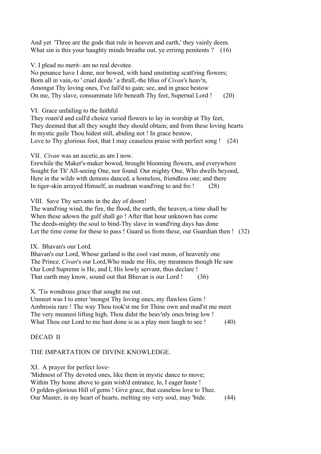And yet 'Three are the gods that rule in heaven and earth,' they vainly deem. What sin is this your haughty minds breathe out, ye errirng penitents ? (16)

V. I plead no merit- am no real devotee.

No penance have I done, nor bowed, with hand unstinting scatt'ring flowers; Born all in vain,-to ' cruel deeds ' a thrall,-the bliss of *Civan*'s heav'n, Amongst Thy loving ones, I've fail'd to gain; see, and in grace bestow On me, Thy slave, consummate life beneath Thy feet, Supernal Lord ! (20)

VI. Grace unfailing to the faithful

They roam'd and cull'd choice varied flowers to lay in worship at Thy feet, They deemed that all they sought they should obtain; and from these loving hearts In mystic guile Thou hidest still, abiding not ! In grace bestow, Love to Thy glorious foot, that I may ceaseless praise with perfect song ! (24)

VII. *Civan* was an ascetic,as am I now.

Erewhile the Maker's-maker bowed, brought blooming flowers, and everywhere Sought for Th' All-seeing One, nor found. Our mighty One, Who dwells beyond, Here in the wilds with demons danced, a homeless, friendless one; and there In tiger-skin arrayed Himself, as madman wand'ring to and fro ! (28)

VIII. Save Thy servants in the day of doom!

The wand'ring wind, the fire, the flood, the earth, the heaven,-a time shall be When these adown the gulf shall go ! After that hour unknown has come The deeds-mighty the soul to bind-Thy slave in wand'ring days has done Let the time come for these to pass ! Guard us from these, our Guardian then ! (32)

IX. Bhavan's our Lord.

Bhavan's our Lord, Whose garland is the cool vast moon, of heavenly one The Prince. *Civan*'s our Lord,Who made me His, my meanness though He saw Our Lord Supreme is He, and I, His lowly servant, thus declare ! That earth may know, sound out that Bhuvan is our Lord ! (36)

X. 'Tis wondrous grace that sought me out.

Unmeet was I to enter 'mongst Thy loving ones, my flawless Gem ! Ambrosia rare ! The way Thou took'st me for Thine own and mad'st me meet The very meanest lifting high, Thou didst the heav'nly ones bring low ! What Thou our Lord to me hast done is as a play men laugh to see ! (40)

## DECAD II

## THE IMPARTATION OF DIVINE KNOWLEDGE.

#### XI. A prayer for perfect love-

'Midmost of Thy devoted ones, like them in mystic dance to move; Within Thy home above to gain wish'd entrance, lo, I eager haste ! O golden-glorious Hill of gems ! Give grace, that ceaseless love to Thee. Our Master, in my heart of hearts, melting my very soul, may 'bide. (44)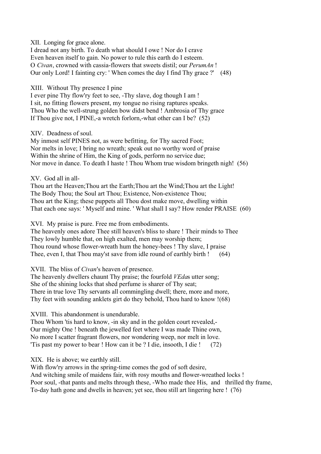XII. Longing for grace alone.

I dread not any birth. To death what should I owe ! Nor do I crave Even heaven itself to gain. No power to rule this earth do I esteem. O *Civan*, crowned with cassia-flowers that sweets distil; our *PerumAn* ! Our only Lord! I fainting cry: ' When comes the day I find Thy grace ?' (48)

XIII. Without Thy presence I pine

I ever pine Thy flow'ry feet to see, -Thy slave, dog though I am ! I sit, no fitting flowers present, my tongue no rising raptures speaks. Thou Who the well-strung golden bow didst bend ! Ambrosia of Thy grace If Thou give not, I PINE,-a wretch forlorn,-what other can I be? (52)

XIV. Deadness of soul.

My inmost self PINES not, as were befitting, for Thy sacred Foot; Nor melts in love; I bring no wreath; speak out no worthy word of praise Within the shrine of Him, the King of gods, perform no service due; Nor move in dance. To death I haste ! Thou Whom true wisdom bringeth nigh! (56)

XV. God all in all-

Thou art the Heaven;Thou art the Earth;Thou art the Wind;Thou art the Light! The Body Thou; the Soul art Thou; Existence, Non-existence Thou; Thou art the King; these puppets all Thou dost make move, dwelling within That each one says: ' Myself and mine. ' What shall I say? How render PRAISE (60)

XVI. My praise is pure. Free me from embodiments.

The heavenly ones adore Thee still heaven's bliss to share ! Their minds to Thee They lowly humble that, on high exalted, men may worship them; Thou round whose flower-wreath hum the honey-bees ! Thy slave, I praise Thee, even I, that Thou may'st save from idle round of earthly birth ! (64)

XVII. The bliss of *Civan*'s heaven of presence.

The heavenly dwellers chaunt Thy praise; the fourfold *VEda*s utter song; She of the shining locks that shed perfume is sharer of Thy seat; There in true love Thy servants all commingling dwell; there, more and more, Thy feet with sounding anklets girt do they behold, Thou hard to know !(68)

XVIII. This abandonment is unendurable.

Thou Whom 'tis hard to know, -in sky and in the golden court revealed,- Our mighty One ! beneath the jewelled feet where I was made Thine own, No more I scatter fragrant flowers, nor wondering weep, nor melt in love. 'Tis past my power to bear ! How can it be ? I die, insooth, I die ! (72)

XIX. He is above; we earthly still.

With flow'ry arrows in the spring-time comes the god of soft desire, And witching smile of maidens fair, with rosy mouths and flower-wreathed locks ! Poor soul, -that pants and melts through these, -Who made thee His, and thrilled thy frame, To-day hath gone and dwells in heaven; yet see, thou still art lingering here ! (76)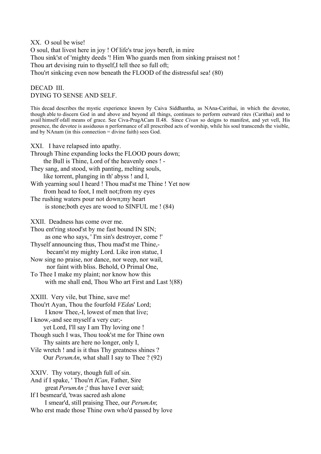XX. O soul be wise! O soul, that livest here in joy ! Of life's true joys bereft, in mire Thou sink'st of 'mighty deeds '! Him Who guards men from sinking praisest not ! Thou art devising ruin to thyself,I tell thee so full oft; Thou'rt sinkcing even now beneath the FLOOD of the distressful sea! (80)

## DECAD III. DYING TO SENSE AND SELF.

This decad describes the mystic experience known by Caiva Siddhantha, as NAna-Carithai, in which the devotee, though able to discern God in and above and beyond all things, continues to perform outward rites (Carithai) and to avail himself ofall means of grace. See Civa-PragACam II.48. Since *Civan* so deigns to manifest, and yet vell, His presence, the devotee is assiduous n performance of all prescribed acts of worship, while his soul transcends the visible, and by NAnam (in this connection = divine faith) sees God.

XXI. I have relapsed into apathy. Through Thine expanding locks the FLOOD pours down; the Bull is Thine, Lord of the heavenly ones ! - They sang, and stood, with panting, melting souls, like torrent, plunging in th' abyss ! and I, With yearning soul I heard ! Thou mad'st me Thine ! Yet now from head to foot, I melt not;from my eyes The rushing waters pour not down;my heart is stone;both eyes are wood to SINFUL me ! (84) XXII. Deadness has come over me. Thou ent'ring stood'st by me fast bound IN SIN; as one who says, ' I'm sin's destroyer, come !' Thyself announcing thus, Thou mad'st me Thine, becam'st my mighty Lord. Like iron statue, I Now sing no praise, nor dance, nor weep, nor wail, nor faint with bliss. Behold, O Primal One, To Thee I make my plaint; nor know how this with me shall end, Thou Who art First and Last !(88) XXIII. Very vile, but Thine, save me! Thou'rt Ayan, Thou the fourfold *VEda*s' Lord; I know Thee,-I, lowest of men that live; I know,-and see myself a very cur; yet Lord, I'll say I am Thy loving one ! Though such I was, Thou took'st me for Thine own Thy saints are here no longer, only I, Vile wretch ! and is it thus Thy greatness shines ? Our *PerumAn*, what shall I say to Thee ? (92) XXIV. Thy votary, though full of sin. And if I spake, ' Thou'rt *ICan*, Father, Sire great *PerumAn* ;' thus have I ever said; If I besmear'd, 'twas sacred ash alone I smear'd, still praising Thee, our *PerumAn*;

Who erst made those Thine own who'd passed by love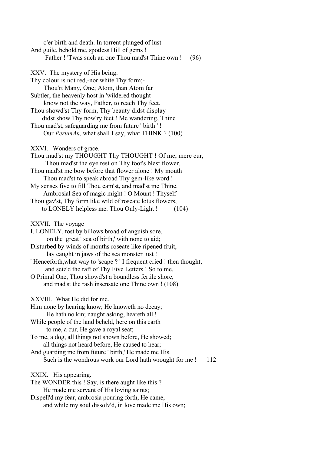o'er birth and death. In torrent plunged of lust And guile, behold me, spotless Hill of gems ! Father ! 'Twas such an one Thou mad'st Thine own ! (96) XXV. The mystery of His being. Thy colour is not red,-nor white Thy form;- Thou'rt Many, One; Atom, than Atom far Subtler; the heavenly host in 'wildered thought know not the way, Father, to reach Thy feet. Thou showd'st Thy form, Thy beauty didst display didst show Thy now'ry feet ! Me wandering, Thine Thou mad'st, safeguarding me from future ' birth ' ! Our *PerumAn*, what shall I say, what THINK ? (100) XXVI. Wonders of grace. Thou mad'st my THOUGHT Thy THOUGHT ! Of me, mere cur, Thou mad'st the eye rest on Thy foot's blest flower, Thou mad'st me bow before that flower alone ! My mouth Thou mad'st to speak abroad Thy gem-like word ! My senses five to fill Thou cam'st, and mad'st me Thine. Ambrosial Sea of magic might ! O Mount ! Thyself Thou gav'st, Thy form like wild of roseate lotus flowers, to LONELY helpless me. Thou Only-Light ! (104) XXVII. The voyage I, LONELY, tost by billows broad of anguish sore, on the great ' sea of birth,' with none to aid; Disturbed by winds of mouths roseate like ripened fruit, lay caught in jaws of the sea monster lust ! ' Henceforth,what way to 'scape ? ' I frequent cried ! then thought, and seiz'd the raft of Thy Five Letters ! So to me, O Primal One, Thou showd'st a boundless fertile shore, and mad'st the rash insensate one Thine own ! (108) XXVIII. What He did for me. Him none by hearing know; He knoweth no decay; He hath no kin; naught asking, heareth all ! While people of the land beheld, here on this earth to me, a cur, He gave a royal seat; To me, a dog, all things not shown before, He showed; all things not heard before, He caused to hear; And guarding me from future ' birth,' He made me His. Such is the wondrous work our Lord hath wrought for me ! 112 XXIX. His appearing. The WONDER this ! Say, is there aught like this ? He made me servant of His loving saints; Dispell'd my fear, ambrosia pouring forth, He came, and while my soul dissolv'd, in love made me His own;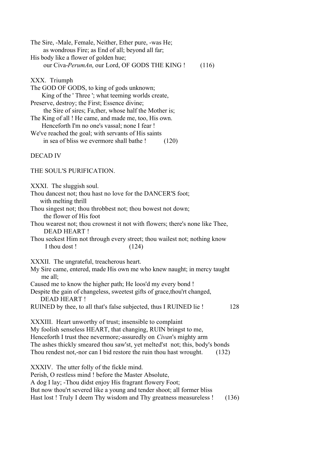| The Sire, -Male, Female, Neither, Ether pure, -was He; |       |
|--------------------------------------------------------|-------|
| as wondrous Fire; as End of all; beyond all far;       |       |
| His body like a flower of golden hue;                  |       |
| our Civa-PerumAn, our Lord, OF GODS THE KING!          | (116) |

XXX. Triumph

| The GOD OF GODS, to king of gods unknown;              |
|--------------------------------------------------------|
| King of the 'Three'; what teeming worlds create,       |
| Preserve, destroy; the First; Essence divine;          |
| the Sire of sires; Fa, ther, whose half the Mother is; |
| The King of all! He came, and made me, too, His own.   |
| Henceforth I'm no one's vassal; none I fear !          |
| We've reached the goal; with servants of His saints    |
|                                                        |

in sea of bliss we evermore shall bathe ! (120)

DECAD IV

THE SOUL'S PURlFICATION.

XXXI. The sluggish soul.

- Thou dancest not; thou hast no love for the DANCER'S foot; with melting thrill
- Thou singest not; thou throbbest not; thou bowest not down; the flower of His foot
- Thou wearest not; thou crownest it not with flowers; there's none like Thee, DEAD HEART !
- Thou seekest Him not through every street; thou wailest not; nothing know I thou dost ! (124)

XXXII. The ungrateful, treacherous heart.

- My Sire came, entered, made His own me who knew naught; in mercy taught me all;
- Caused me to know the higher path; He loos'd my every bond !
- Despite the gain of changeless, sweetest gifts of grace, thou'rt changed, DEAD HEART !
- RUINED by thee, to all that's false subjected, thus I RUINED lie ! 128

XXXIII. Heart unworthy of trust; insensible to complaint My foolish senseless HEART, that changing, RUIN bringst to me, Henceforth I trust thee nevermore;-assuredly on *Civan*'s mighty arm The ashes thickly smeared thou saw'st, yet melted'st not; this, body's bonds Thou rendest not,-nor can I bid restore the ruin thou hast wrought. (132)

XXXIV. The utter folly of the fickle mind. Perish, O restless mind ! before the Master Absolute, A dog I lay; -Thou didst enjoy His fragrant flowery Foot; But now thou'rt severed like a young and tender shoot; all former bliss

Hast lost ! Truly I deem Thy wisdom and Thy greatness measureless ! (136)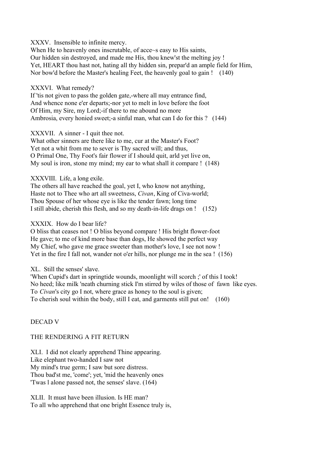XXXV. Insensible to infinite mercy.

When He to heavenly ones inscrutable, of acce~s easy to His saints, Our hidden sin destroyed, and made me His, thou knew'st the melting joy ! Yet, HEART thou hast not, hating all thy hidden sin, prepar'd an ample field for Him, Nor bow'd before the Master's healing Feet, the heavenly goal to gain ! (140)

#### XXXVI. What remedy?

If 'tis not given to pass the golden gate,-where all may entrance find, And whence none e'er departs;-nor yet to melt in love before the foot Of Him, my Sire, my Lord;-if there to me abound no more Ambrosia, every honied sweet;-a sinful man, what can I do for this ? (144)

#### XXXVII. A sinner - I quit thee not.

What other sinners are there like to me, cur at the Master's Foot? Yet not a whit from me to sever is Thy sacred will; and thus, O Primal One, Thy Foot's fair flower if I should quit, arld yet live on, My soul is iron, stone my mind; my ear to what shall it compare ! (148)

## XXXVIII. Life, a long exile.

The others all have reached the goal, yet I, who know not anything, Haste not to Thee who art all sweetness, *Civan*, King of Civa-world; Thou Spouse of her whose eye is like the tender fawn; long time I still abide, cherish this flesh, and so my death-in-life drags on ! (152)

#### XXXIX. How do I bear life?

O bliss that ceases not ! O bliss beyond compare ! His bright flower-foot He gave; to me of kind more base than dogs, He showed the perfect way My Chief, who gave me grace sweeter than mother's love, I see not now ! Yet in the fire I fall not, wander not o'er hills, nor plunge me in the sea ! (156)

## XL. Still the senses' slave.

'When Cupid's dart in springtide wounds, moonlight will scorch ;' of this I took! No heed; like milk 'neath churning stick I'm stirred by wiles of those of fawn like eyes. To *Civan*'s city go I not, where grace as honey to the soul is given; To cherish soul within the body, still I eat, and garments still put on! (160)

## DECAD V

## THE RENDERING A FIT RETURN

XLI. I did not clearly apprehend Thine appearing. Like elephant two-handed I saw not My mind's true germ; I saw but sore distress. Thou bad'st me, 'come'; yet, 'mid the heavenly ones 'Twas l alone passed not, the senses' slave. (164)

XLII. It must have been illusion. Is HE man? To all who apprehend that one bright Essence truly is,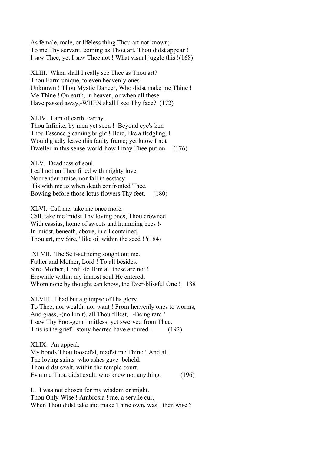As female, male, or lifeless thing Thou art not known;- To me Thy servant, coming as Thou art, Thou didst appear ! I saw Thee, yet I saw Thee not ! What visual juggle this !(168)

XLIII. When shall I really see Thee as Thou art? Thou Form unique, to even heavenly ones Unknown ! Thou Mystic Dancer, Who didst make me Thine ! Me Thine ! On earth, in heaven, or when all these Have passed away,-WHEN shall I see Thy face? (172)

XLIV. I am of earth, earthy. Thou Infinite, by men yet seen ! Beyond eye's ken Thou Essence gleaming bright ! Here, like a fledgling, I Would gladly leave this faulty frame; yet know I not Dweller in this sense-world-how I may Thee put on. (176)

XLV. Deadness of soul. I call not on Thee filled with mighty love, Nor render praise, nor fall in ecstasy 'Tis with me as when death confronted Thee, Bowing before those lotus flowers Thy feet. (180)

XLVI. Call me, take me once more. Call, take me 'midst Thy loving ones, Thou crowned With cassias, home of sweets and humming bees !-In 'midst, beneath, above, in all contained, Thou art, my Sire, ' like oil within the seed ! '(184)

 XLVII. The Self-sufficing sought out me. Fathcr and Mother, Lord ! To all besides. Sire, Mother, Lord: -to Him all these are not ! Erewhile within my inmost soul He entered, Whom none by thought can know, the Ever-blissful One ! 188

XLVIII. I had but a glimpse of His glory. To Thee, nor wealth, nor want ! From heavenly ones to worms, And grass, -(no limit), all Thou fillest, -Being rare ! I saw Thy Foot-gem limitless, yet swerved from Thee. This is the grief I stony-hearted have endured ! (192)

XLIX. An appeal. My bonds Thou loosed'st, mad'st me Thine ! And all The loving saints -who ashes gave -beheld. Thou didst exalt, within the temple court, Ev'n me Thou didst exalt, who knew not anything. (196)

L. I was not chosen for my wisdom or might. Thou Only-Wise ! Ambrosia ! me, a servile cur, When Thou didst take and make Thine own, was I then wise ?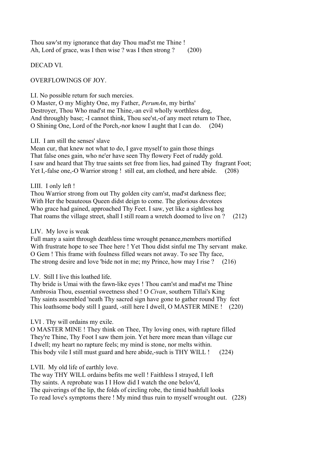Thou saw'st my ignorance that day Thou mad'st me Thine ! Ah, Lord of grace, was I then wise ? was I then strong ? (200)

DECAD VI.

OVERFLOWINGS OF JOY.

LI. No possible return for such mercies.

O Master, O my Mighty One, my Father, *PerumAn*, my births' Destroyer, Thou Who mad'st me Thine,-an evil wholly worthless dog, And throughly base; -I cannot think, Thou see'st,-of any meet return to Thee, O Shining One, Lord of the Porch,-nor know I aught that I can do. (204)

#### LII. I am still the senses' slave

Mean cur, that knew not what to do, I gave myself to gain those things That false ones gain, who ne'er have seen Thy flowery Feet of ruddy gold. I saw and heard that Thy true saints set free from lies, had gained Thy fragrant Foot; Yet I,-false one,-O Warrior strong ! still eat, am clothed, and here abide. (208)

## LIII. I only left !

Thou Warrior strong from out Thy golden city cam'st, mad'st darkness flee; With Her the beauteous Queen didst deign to come. The glorious devotees Who grace had gained, approached Thy Feet. I saw, yet like a sightless hog That roams the village street, shall I still roam a wretch doomed to live on ? (212)

## LIV. My love is weak

Full many a saint through deathless time wrought penance,members mortified With frustrate hope to see Thee here ! Yet Thou didst sinful me Thy servant make. O Gem ! This frame with foulness filled wears not away. To see Thy face, The strong desire and love 'bide not in me; my Prince, how may I rise ? (216)

## LV. Still I live this loathed life.

Thy bride is Umai with the fawn-like eyes ! Thou cam'st and mad'st me Thine Ambrosia Thou, essential sweetness shed ! O *Civan*, southern Tillai's King Thy saints assembled 'neath Thy sacred sign have gone to gather round Thy feet This loathsome body still I guard, -still here I dwell, O MASTER MINE ! (220)

## LVI . Thy will ordains my exile.

O MASTER MINE ! They think on Thee, Thy loving ones, with rapture filled They're Thine, Thy Foot I saw them join. Yet here more mean than village cur I dwell; my heart no rapture feels; my mind is stone, nor melts within. This body vile I still must guard and here abide,-such is THY WILL ! (224)

## LVII. My old life of earthly love.

The way THY WILL ordains befits me well ! Faithless I strayed, I left Thy saints. A reprobate was I I How did I watch the one belov'd, The quiverings of the lip, the folds of circling robe, the timid bashfull looks To read love's symptoms there ! My mind thus ruin to myself wrought out. (228)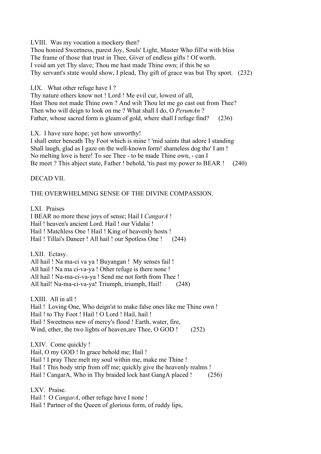LVIII. Was my vocation a mockery then?

Thou honied Sweetness, purest Joy, Souls' Light, Master Who fill'st with bliss The frame of those that trust in Thee, Giver of endless gifts ! Of worth. I void am yet Thy slave; Thou me hast made Thine own; if this be so Thy servant's state would show, I plead, Thy gift of grace was but Thy sport. (232)

LIX. What other refuge have I ?

Thy nature others know not ! Lord ! Me evil cur, lowest of all, Hast Thou not made Thine own ? And wilt Thou let me go cast out from Thee? Then who will deign to look on me ? What shall I do, O *PerumAn* ? Father, whose sacred form is gleam of gold, where shall I refuge find? (236)

LX. I have sure hope; yet how unworthy!

I shall enter beneath Thy Foot which is mine ! 'mid saints that adore I standing Shall laugh, glad as I gaze on the well-known form! shameless dog tho' I am ! No melting love is here! To see Thee - to be made Thine own, - can I Be meet ? This abject state, Father ! behold, 'tis past my power to BEAR ! (240)

DECAD VII.

## THE OVERWHELMlNG SENSE OF THE DIVINE COMPASSION.

LXI. Praises I BEAR no more these joys of sense; Hail I *CangarA* ! Hail ! heaven's ancient Lord. Hail ! our Vidalai ! Hail ! Matchless One ! Hail ! King of heavenly hosts ! Hail ! Tillai's Dancer ! All hail ! our Spotless One ! (244)

LXII. Ectasy. All hail ! Na ma-ci va ya ! Buyangan ! My senses fail ! All hail ! Na ma ci-va-ya ! Other refuge is there none ! All hail ! Na-ma-ci-va-ya ! Send me not forth from Thee ! All hail! Na-ma-ci-va-ya! Triumph, triumph, Hail! (248)

LXIII. All in all ! Hail ! Loving One, Who deign'st to make false ones like me Thine own ! Hail ! to Thy Foot ! Hail ! O Lord ! Hail, hail ! Hail ! Sweetness new of mercy's flood ! Earth, water, fire, Wind, ether, the two lights of heaven, are Thee, O GOD ! (252)

LXIV. Come quickly ! Hail, O my GOD ! In grace behold me; Hail ! Hail ! I pray Thee melt my soul within me, make me Thine ! Hail ! This body strip from off me; quickly give the heavenly realms ! Hail ! CangarA, Who in Thy braided lock hast GangA placed ! (256)

LXV. Praise. Hail ! O *CangarA*, other refuge have I none ! Hail ! Partner of the Queen of glorious form, of ruddy lips,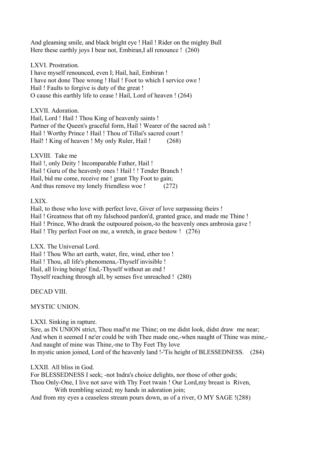And gleaming smile, and black bright eye ! Hail ! Rider on the mighty Bull Here these earthly joys I bear not, Embiran,I all renounce ! (260)

LXVI. Prostration.

I have myself renounced, even I; Hail, hail, Embiran ! I have not done Thee wrong ! Hail ! Foot to which I service owe ! Hail ! Faults to forgive is duty of the great ! O cause this earthly life to cease ! Hail, Lord of heaven ! (264)

LXVII. Adoration.

Hail, Lord ! Hail ! Thou King of heavenly saints ! Partner of the Queen's graceful form, Hail ! Wearer of the sacred ash ! Hail ! Worthy Prince ! Hail ! Thou of Tillai's sacred court ! Hail!! King of heaven! My only Ruler, Hail! (268)

LXVIII. Take me Hail !, only Deity ! lncomparable Father, Hail ! Hail ! Guru of the heavenly ones ! Hail ! ! Tender Branch ! Hail, bid me come, receive me ! grant Thy Foot to gain; And thus remove my lonely friendless woe !  $(272)$ 

LXIX.

Hail, to those who love with perfect love, Giver of love surpassing theirs ! Hail ! Greatness that oft my falsehood pardon'd, granted grace, and made me Thine ! Hail ! Prince, Who drank the outpoured poison,-to the heavenly ones ambrosia gave ! Hail ! Thy perfect Foot on me, a wretch, in grace bestow ! (276)

LXX. The Universal Lord. Hail ! Thou Who art earth, water, fire, wind, ether too ! Hail ! Thou, all life's phenomena,-Thyself invisible ! Hail, all living beings' End,-Thyself without an end ! Thyself reaching through all, by senses five unreached ! (280)

DECAD VIII.

MYSTIC UNION.

LXXI. Sinking in rapture.

Sire, as IN UNION strict, Thou mad'st me Thine; on me didst look, didst draw me near; And when it seemed I ne'er could be with Thee made one,-when naught of Thine was mine,- And naught of mine was Thine,-me to Thy Feet Thy love In mystic union joined, Lord of the heavenly land !-'Tis height of BLESSEDNESS. (284)

LXXII. All bliss in God.

For BLESSEDNESS I seek; -not Indra's choice delights, nor those of other gods; Thou Only-One, I live not save with Thy Feet twain ! Our Lord,my breast is Riven, With trembling seized; my hands in adoration join; And from my eyes a ceaseless stream pours down, as of a river, O MY SAGE !(288)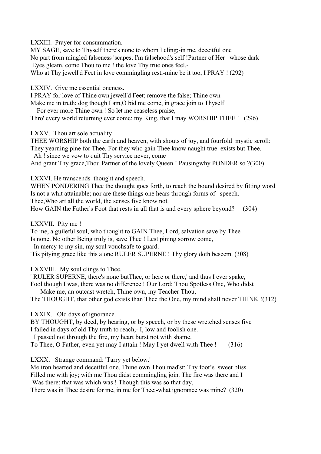LXXIII. Prayer for consummation.

MY SAGE, save to Thyself there's none to whom I cling;-in me, deceitful one No part from mingled falseness 'scapes; I'm falsehood's self !Partner of Her whose dark Eyes gleam, come Thou to me ! the love Thy true ones feel,- Who at Thy jewell'd Feet in love commingling rest,-mine be it too, I PRAY ! (292)

LXXIV. Give me essential oneness.

I PRAY for love of Thine own jewell'd Feet; remove the false; Thine own

Make me in truth; dog though I am,O bid me come, in grace join to Thyself

For ever more Thine own ! So let me ceaseless praise,

Thro' every world returning ever come; my King, that I may WORSHIP THEE ! (296)

LXXV. Thou art sole actuality

THEE WORSHIP both the earth and heaven, with shouts of joy, and fourfold mystic scroll: They yearning pine for Thee. For they who gain Thee know naught true exists but Thee.

Ah ! since we vow to quit Thy service never, come

And grant Thy grace,Thou Partner of the lovely Queen ! Pausingwhy PONDER so ?(300)

LXXVI. He transcends thought and speech.

WHEN PONDERING Thee the thought goes forth, to reach the bound desired by fitting word Is not a whit attainable; nor are these things one hears through forms of speech.

Thee,Who art all the world, the senses five know not.

How GAIN the Father's Foot that rests in all that is and every sphere beyond? (304)

LXXVII. Pity me !

To me, a guileful soul, who thought to GAIN Thee, Lord, salvation save by Thee Is none. No other Being truly is, save Thee ! Lest pining sorrow come,

In mercy to my sin, my soul vouchsafe to guard.

'Tis pitying grace like this alone RULER SUPERNE ! Thy glory doth beseem. (308)

LXXVIII. My soul clings to Thee.

' RULER SUPERNE, there's none butThee, or here or there,' and thus I ever spake,

Fool though I was, there was no difference ! Our Lord: Thou Spotless One, Who didst

Make me, an outcast wretch, Thine own, my Teacher Thou,

The THOUGHT, that other god exists than Thee the One, my mind shall never THINK !(312)

LXXIX. Old days of ignorance.

BY THOUGHT, by deed, by hearing, or by speech, or by these wretched senses five I failed in days of old Thy truth to reach;- I, low and foolish one.

I passed not through the fire, my heart burst not with shame.

To Thee, O Father, even yet may I attain ! May I yet dwell with Thee ! (316)

LXXX. Strange command: 'Tarry yet below.'

Me iron hearted and deceitful one, Thine own Thou mad'st; Thy foot's sweet bliss Filled me with joy; with me Thou didst commingling join. The fire was there and I Was there: that was which was ! Though this was so that day,

There was in Thee desire for me, in me for Thee;-what ignorance was mine? (320)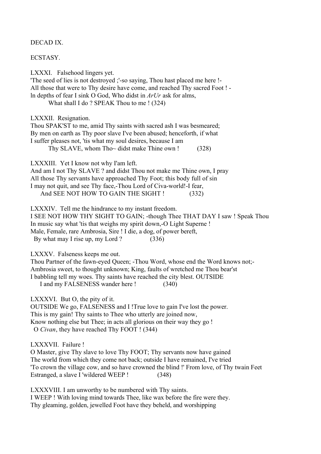#### DECAD IX.

#### **ECSTASY**

LXXXI. Falsehood lingers yet. 'The seed of lies is not destroyed ;'-so saying, Thou hast placed me here !- All those that were to Thy desire have come, and reached Thy sacred Foot ! ln depths of fear I sink O God, Who didst in *ArUr* ask for alms, What shall I do ? SPEAK Thou to me ! (324)

LXXXII. Resignation.

Thou SPAK'ST to me, amid Thy saints with sacred ash I was besmeared; By men on earth as Thy poor slave I've been abused; henceforth, if what I suffer pleases not, 'tis what my soul desires, because I am Thy SLAVE, whom Tho $\sim$  didst make Thine own ! (328)

LXXXIII. Yet I know not why I'am left.

And am I not Thy SLAVE ? and didst Thou not make me Thine own, I pray All those Thy servants have approached Thy Foot; this body full of sin I may not quit, and see Thy face,-Thou Lord of Civa-world!-I fear, And SEE NOT HOW TO GAIN THE SIGHT ! (332)

LXXXIV. Tell me the hindrance to my instant freedom.

I SEE NOT HOW THY SIGHT TO GAIN; -though Thee THAT DAY I saw ! Speak Thou In music say what 'tis that weighs my spirit down,-O Light Superne ! Male, Female, rare Ambrosia, Sire ! I die, a dog, of power bereft, By what may I rise up, my Lord ? (336)

LXXXV. Falseness keeps me out.

Thou Partner of the fawn-eyed Queen; -Thou Word, whose end the Word knows not;- Ambrosia sweet, to thought unknown; King, faults of wretched me Thou bear'st I babbling tell my woes. Thy saints have reached the city blest. OUTSIDE I and my FALSENESS wander here ! (340)

LXXXVI. But O, the pity of it.

OUTSIDE We go, FALSENESS and I !True love to gain I've lost the power. This is my gain! Thy saints to Thee who utterly are joined now, Know nothing else but Thee; in acts all glorious on their way they go ! O *Civan*, they have reached Thy FOOT ! (344)

LXXXVII. Failure !

O Master, give Thy slave to love Thy FOOT; Thy servants now have gained The world from which they come not back; outside I have remained, I've tried 'To crown the village cow, and so have crowned the blind !' From love, of Thy twain Feet Estranged, a slave I 'wildered WEEP ! (348)

LXXXVIII. I am unworthy to be numbered with Thy saints. I WEEP ! With loving mind towards Thee, like wax before the fire were they. Thy gleaming, golden, jewelled Foot have they beheld, and worshipping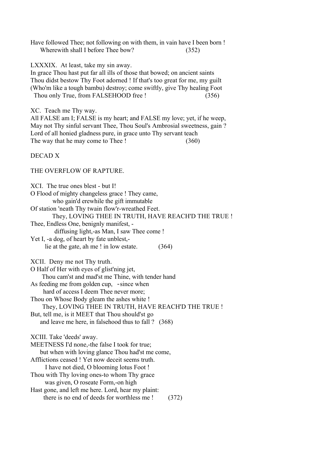Have followed Thee; not following on with them, in vain have I been born ! Wherewith shall I before Thee bow? (352)

LXXXIX. At least, take my sin away.

In grace Thou hast put far all ills of those that bowed; on ancient saints Thou didst bestow Thy Foot adorned ! If that's too great for me, my guilt (Who'm like a tough bambu) destroy; come swiftly, give Thy healing Foot Thou only True, from FALSEHOOD free ! (356)

XC. Teach me Thy way.

All FALSE am I; FALSE is my heart; and FALSE my love; yet, if he weep, May not Thy sinful servant Thee, Thou Soul's Ambrosial sweetness, gain ? Lord of all honied gladness pure, in grace unto Thy servant teach The way that he may come to Thee ! (360)

DECAD X

#### THE OVERFLOW OF RAPTURE.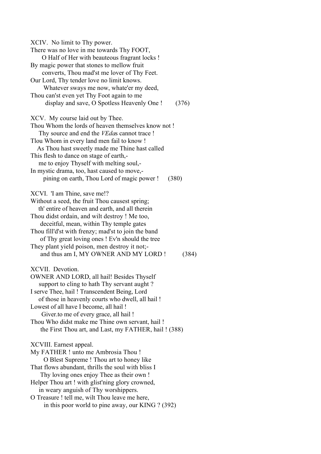XCIV. No limit to Thy power. There was no love in me towards Thy FOOT, O Half of Her with beauteous fragrant locks ! By magic power that stones to mellow fruit converts, Thou mad'st me lover of Thy Feet. Our Lord, Thy tender love no limit knows. Whatever sways me now, whate'er my deed, Thou can'st even yet Thy Foot again to me display and save, O Spotless Heavenly One ! (376) XCV. My course laid out by Thee. Thou Whom the lords of heaven themselves know not ! Thy source and end the *VEda*s cannot trace ! Tlou Whom in every land men fail to know ! As Thou hast sweetly made me Thine hast called This flesh to dance on stage of earth, me to enjoy Thyself with melting soul,- In mystic drama, too, hast caused to move, pining on earth, Thou Lord of magic power ! (380) XCVI. 'I am Thine, save me!? Without a seed, the fruit Thou causest spring; th' entire of heaven and earth, and all therein Thou didst ordain, and wilt destroy ! Me too, deceitful, mean, within Thy temple gates Thou fill'd'st with frenzy; mad'st to join the band of Thy great loving ones ! Ev'n should the tree They plant yield poison, men destroy it not; and thus am I, MY OWNER AND MY LORD ! (384) XCVII. Devotion. OWNER AND LORD, all hail! Besides Thyself support to cling to hath Thy servant aught ? I serve Thee, hail ! Transcendent Being, Lord of those in heavenly courts who dwell, all hail ! Lowest of all have I become, all hail ! Giver.to me of every grace, all hail ! Thou Who didst make me Thine own servant, hail ! the First Thou art, and Last, my FATHER, hail ! (388) XCVIII. Earnest appeal. My FATHER ! unto me Ambrosia Thou ! O Blest Supreme ! Thou art to honey like That flows abundant, thrills the soul with bliss I Thy loving ones enjoy Thee as their own ! Helper Thou art ! with glist'ning glory crowned, in weary anguish of Thy worshippers. O Treasure ! tell me, wilt Thou leave me here, in this poor world to pine away, our KING ? (392)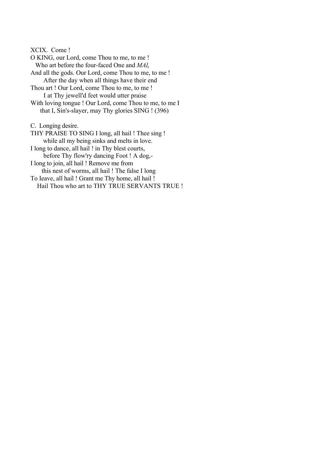XCIX. Come ! O KING, our Lord, come Thou to me, to me ! Who art before the four-faced One and *MAl*, And all the gods. Our Lord, come Thou to me, to me ! After the day when all things have their end Thou art ! Our Lord, come Thou to me, to me ! I at Thy jewell'd feet would utter praise With loving tongue ! Our Lord, come Thou to me, to me I that I, Sin's-slayer, may Thy glories SING ! (396) C. Longing desire. THY PRAISE TO SING I long, all hail ! Thee sing ! while all my being sinks and melts in love. I long to dance, all hail ! in Thy blest courts,

 before Thy flow'ry dancing Foot ! A dog,- I long to join, all hail ! Remove me from

 this nest of worms, all hail ! The false I long To Ieave, all hail ! Grant me Thy home, all hail !

Hail Thou who art to THY TRUE SERVANTS TRUE !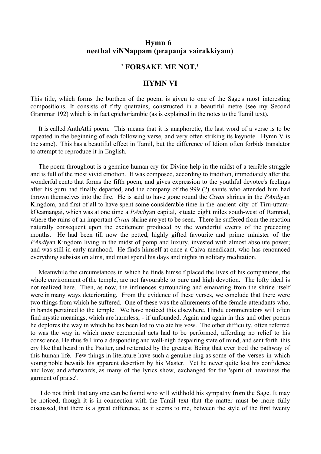## **Hymn 6 neethal viNNappam (prapanja vairakkiyam)**

## **' FORSAKE ME NOT.'**

#### **HYMN VI**

This title, which forms the burthen of the poem, is given to one of the Sage's most interesting compositions. It consists of fifty quatrains, constructed in a beautiful metre (see my Second Grammar 192) which is in fact epichoriambic (as is explained in the notes to the Tamil text).

 It is called AnthAthi poem. This means that it is anaphoretic, the last word of a verse is to be repeated in the beginning of each following verse, and very often striking its keynote. Hymn V is the same). This has a beautiful effect in Tamil, but the difference of Idiom often forbids translator to attempt to reproduce it in English.

 The poem throughout is a genuine human cry for Divine help in the midst of a terrible struggle and is full of the most vivid emotion. It was composed, according to tradition, immediately after the wonderful cento that forms the fifth poem, and gives expression to the youthful devotee's feelings after his guru had finally departed, and the company of the 999 (?) saints who attended him had thrown themselves into the fire. He is said to have gone round the *Civan* shrines in the *PAndi*yan Kingdom, and first of all to have spent some considerable time in the ancient city of Tiru-uttarakOcamangai, which was at one time a *PAndi*yan capital, situate eight miles south-west of Ramnad, where the ruins of an important *Civan* shrine are yet to be seen. There he suffered from the reaction naturally consequent upon the excitement produced by the wonderful events of the preceding months. He had been till now the petted, highly gifted favourite and prime minister of the *PAndi*yan Kingdom living in the midst of pomp and luxury, invested with almost absolute power; and was still in early manhood. He finds himself at once a Caiva mendicant, who has renounced everything subsists on alms, and must spend his days and nights in solitary meditation.

 Meanwhile the circumstances in which he finds himself placed the lives of his companions, the whole environment of the temple, are not favourable to pure and high devotion. The lofty ideal is not realized here. Then, as now, the influences surrounding and emanating from the shrine itself were in many ways deteriorating. From the evidence of these verses, we conclude that there were two things from which he suffered. One of these was the allurements of the female attendants who, in bands pertained to the temple. We have noticed this elsewhere. Hindu commentators will often find mystic meanings, which are harmless, - if unfounded. Again and again in this and other poems he deplores the way in which he has been led to violate his vow. The other difficulty, often referred to was the way in which mere ceremonial acts had to be performed, affording no relief to his conscience. He thus fell into a desponding and well-nigh despairing state of mind, and sent forth this cry like that heard in the Psalter, and reiterated by the greatest Being that ever trod the pathway of this human life. Few things in literature have such a genuine ring as some of the verses in which young noble bewails his apparent desertion by his Master. Yet he never quite lost his confidence and love; and afterwards, as many of the lyrics show, exchanged for the 'spirit of heaviness the garment of praise'.

 I do not think that any one can be found who will withhold his sympathy from the Sage. It may be noticed, though it is in connection with the Tamil text that the matter must be more fully discussed, that there is a great difference, as it seems to me, between the style of the first twenty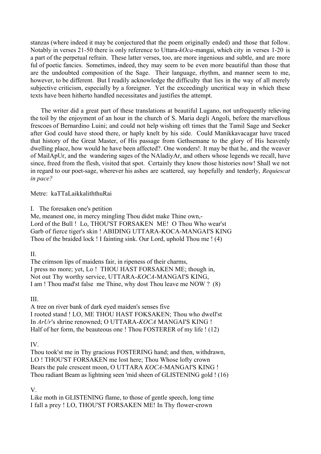stanzas (where indeed it may be conjectured that the poem originally ended) and those that follow. Notably in verses 21-50 there is only reference to Uttara-*kOca*-mangai, which city in verses 1-20 is a part of the perpetual refrain. These latter verses, too, are more ingenious and subtle, and are more ful of poetic fancies. Sometimes, indeed, they may seem to be even more beautiful than those that are the undoubted composition of the Sage. Their language, rhythm, and manner seem to me, however, to be different. But I readily acknowledge the difficulty that lies in the way of all merely subjective criticism, especially by a foreigner. Yet the exceedingly uncritical way in which these texts have been hitherto handled necessitates and justifies the attempt.

 The writer did a great part of these translations at beautiful Lugano, not unfrequently relieving the toil by the enjoyment of an hour in the church of S. Maria degli Angoli, before the marvellous frescoes of Bernardino Luini; and could not help wishing oft times that the Tamil Sage and Seeker after God could have stood there, or haply knelt by his side. Could Manikkavacagar have traced that history of the Great Master, of His passage from Gethsemane to the glory of His heavenly dwelling place, how would he have been affected?. One wonders!. It may be that he, and the weaver of MailApUr, and the wandering sages of the NAladiyAr, and others whose legends we recall, have since, freed from the flesh, visited that spot. Certainly they know those histories now! Shall we not in regard to our poet-sage, wherever his ashes are scattered, say hopefully and tenderly, *Requiescat in pace?*

Metre: kaTTaLaikkaliththuRai

I. The foresaken one's petition

Me, meanest one, in mercy mingling Thou didst make Thine own,- Lord of the Bull ! Lo, THOU'ST FORSAKEN ME! O Thou Who wear'st Garb of fierce tiger's skin ! ABIDING UTTARA-KOCA-MANGAI'S KING Thou of the braided lock ! I fainting sink. Our Lord, uphold Thou me ! (4)

II.

The crimson lips of maidens fair, in ripeness of their charms, I press no more; yet, Lo ! THOU HAST FORSAKEN ME; though in, Not out Thy worthy service, UTTARA-*KOCA*-MANGAI'S KING, I am ! Thou mad'st false me Thine, why dost Thou leave me NOW ? (8)

## III.

A tree on river bank of dark eyed maiden's senses five I rooted stand ! LO, ME THOU HAST FOKSAKEN; Thou who dwell'st In *ArUr*'s shrine renowned; O UTTARA-*KOCA* MANGAI'S KING ! Half of her form, the beauteous one ! Thou FOSTERER of my life ! (12)

IV.

Thou took'st me in Thy gracious FOSTERING hand; and then, withdrawn, LO ! THOU'ST FORSAKEN me lost here; Thou Whose lofty crown Bears the pale crescent moon, O UTTARA *KOCA*-MANGAI'S KING ! Thou radiant Beam as lightning seen 'mid sheen of GLISTENING gold ! (16)

V.

Like moth in GLISTENING flame, to those of gentle speech, long time I fall a prey ! LO, THOU'ST FORSAKEN ME! In Thy flower-crown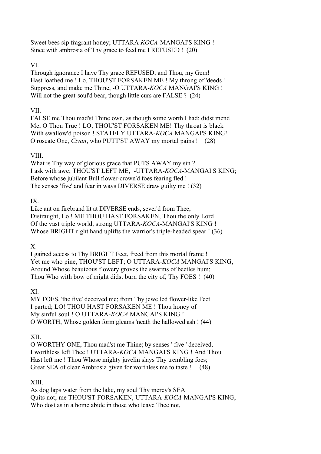Sweet bees sip fragrant honey; UTTARA *KOCA*-MANGAI'S KING ! Since with ambrosia of Thy grace to feed me I REFUSED ! (20)

## VI.

Through ignorance I have Thy grace REFUSED; and Thou, my Gem! Hast loathed me ! Lo, THOU'ST FORSAKEN ME ! My throng of 'deeds ' Suppress, and make me Thine, -O UTTARA-*KOCA* MANGAI'S KING ! Will not the great-soul'd bear, though little curs are FALSE ? (24)

# VII.

FALSE me Thou mad'st Thine own, as though some worth I had; didst mend Me, O Thou True ! LO, THOU'ST FORSAKEN ME! Thy throat is black With swallow'd poison ! STATELY UTTARA-*KOCA* MANGAI'S KING! O roseate One, *Civan*, who PUTT'ST AWAY my mortal pains ! (28)

## VIII.

What is Thy way of glorious grace that PUTS AWAY my sin ? I ask with awe; THOU'ST LEFT ME, -UTTARA-*KOCA*-MANGAI'S KING; Before whose jubilant Bull flower-crown'd foes fearing fled ! The senses 'five' and fear in ways DIVERSE draw guilty me ! (32)

## IX.

Like ant on firebrand lit at DIVERSE ends, sever'd from Thee, Distraught, Lo ! ME THOU HAST FORSAKEN, Thou the only Lord Of the vast triple world, strong UTTARA-*KOCA*-MANGAI'S KING ! Whose BRIGHT right hand uplifts the warrior's triple-headed spear ! (36)

# X.

I gained access to Thy BRIGHT Feet, freed from this mortal frame ! Yet me who pine, THOU'ST LEFT; O UTTARA-*KOCA* MANGAI'S KING, Around Whose beauteous flowery groves the swarms of beetles hum; Thou Who with bow of might didst burn the city of, Thy FOES ! (40)

## XI.

MY FOES, 'the five' deceived me; from Thy jewelled flower-like Feet I parted; LO! THOU HAST FORSAKEN ME ! Thou honey of My sinful soul ! O UTTARA-*KOCA* MANGAI'S KING ! O WORTH, Whose golden form gleams 'neath the hallowed ash ! (44)

# XII.

O WORTHY ONE, Thou mad'st me Thine; by senses ' five ' deceived, I worthless left Thee ! UTTARA-*KOCA* MANGAI'S KING ! And Thou Hast left me ! Thou Whose mighty javelin slays Thy trembling foes; Great SEA of clear Ambrosia given for worthless me to taste ! (48)

## XIII.

As dog laps water from the lake, my soul Thy mercy's SEA Quits not; me THOU'ST FORSAKEN, UTTARA-*KOCA*-MANGAI'S KING; Who dost as in a home abide in those who leave Thee not,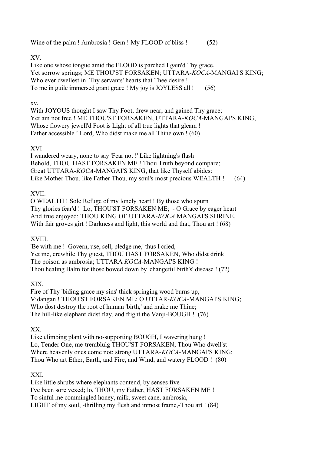Wine of the palm ! Ambrosia ! Gem ! My FLOOD of bliss ! (52)

## XV.

Like one whose tongue amid the FLOOD is parched I gain'd Thy grace, Yet sorrow springs; ME THOU'ST FORSAKEN; UTTARA-*KOCA*-MANGAI'S KING; Who ever dwellest in Thy servants' hearts that Thee desire ! To me in guile immersed grant grace ! My joy is JOYLESS all ! (56)

## xv,

With JOYOUS thought I saw Thy Foot, drew near, and gained Thy grace; Yet am not free ! ME THOU'ST FORSAKEN, UTTARA-*KOCA*-MANGAI'S KING, Whose flowery jewell'd Foot is Light of all true lights that gleam ! Father accessible ! Lord, Who didst make me all Thine own ! (60)

## XVI

I wandered weary, none to say 'Fear not !' Like lightning's flash Behold, THOU HAST FORSAKEN ME ! Thou Truth beyond compare; Great UTTARA-*KOCA*-MANGAI'S KING, that like Thyself abides: Like Mother Thou, like Father Thou, my soul's most precious WEALTH ! (64)

# XVII.

O WEALTH ! Sole Refuge of my lonely heart ! By those who spurn Thy glories fear'd ! Lo, THOU'ST FORSAKEN ME; - O Grace by eager heart And true enjoyed; THOU KING OF UTTARA-*KOCA* MANGAI'S SHRINE, With fair groves girt ! Darkness and light, this world and that, Thou art ! (68)

## XVIII.

'Be with me ! Govern, use, sell, pledge me,' thus I cried, Yet me, erewhile Thy guest, THOU HAST FORSAKEN, Who didst drink The poison as ambrosia; UTTARA *KOCA*-MANGAI'S KING ! Thou healing Balm for those bowed down by 'changeful birth's' disease ! (72)

## XIX.

Fire of Thy 'biding grace my sins' thick springing wood burns up, Vidangan ! THOU'ST FORSAKEN ME; O UTTAR-*KOCA*-MANGAI'S KING; Who dost destroy the root of human 'birth,' and make me Thine; The hill-like elephant didst flay, and fright the Vanji-BOUGH ! (76)

## XX.

Like climbing plant with no-supporting BOUGH, I wavering hung ! Lo, Tender One, me-tremblulg THOU'ST FORSAKEN; Thou Who dwell'st Where heavenly ones come not; strong UTTARA-*KOCA*-MANGAl'S KING; Thou Who art Ether, Earth, and Fire, and Wind, and watery FLOOD ! (80)

## XXI.

Like little shrubs where elephants contend, by senses five I've been sore vexed; lo, THOU, my Father, HAST FORSAKEN ME ! To sinful me commingled honey, milk, sweet cane, ambrosia, LIGHT of my soul, -thrilling my flesh and inmost frame,-Thou art ! (84)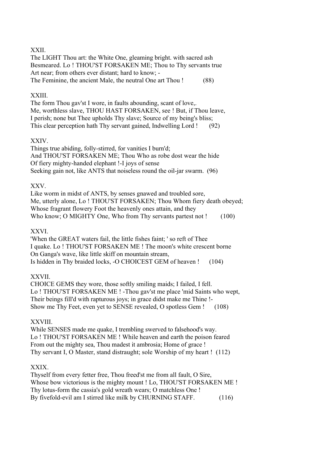## XXII.

The LIGHT Thou art: the White One, gleaming bright. with sacred ash Besmeared. Lo ! THOU'ST FORSAKEN ME; Thou to Thy servants true Art near; from others ever distant; hard to know; - The Feminine, the ancient Male, the neutral One art Thou ! (88)

## XXIII.

The form Thou gav'st I wore, in faults abounding, scant of love,. Me, worthless slave, THOU HAST FORSAKEN, see ! But, if Thou leave, I perish; none but Thee upholds Thy slave; Source of my being's bliss; This clear perception hath Thy servant gained, Indwelling Lord ! (92)

## XXIV.

Things true abiding, folly-stirred, for vanities I burn'd; And THOU'ST FORSAKEN ME; Thou Who as robe dost wear the hide Of fiery mighty-handed elephant !-I joys of sense Seeking gain not, like ANTS that noiseless round the oil-jar swarm. (96)

## XXV.

Like worm in midst of ANTS, by senses gnawed and troubled sore, Me, utterly alone, Lo ! THOU'ST FORSAKEN; Thou Whom fiery death obeyed; Whose fragrant flowery Foot the heavenly ones attain, and they Who know; O MIGHTY One, Who from Thy servants partest not ! (100)

## XXVI.

'When the GREAT waters fail, the little fishes faint; ' so reft of Thee I quake. Lo ! THOU'ST FORSAKEN ME ! The moon's white crescent borne On Ganga's wave, like little skiff on mountain stream, Is hidden in Thy braided locks, -O CHOICEST GEM of heaven ! (104)

## XXVII.

CHOICE GEMS they wore, those softly smiling maids; I failed, I fell. Lo ! THOU'ST FORSAKEN ME ! -Thou gav'st me place 'mid Saints who wept, Their beings fill'd with rapturous joys; in grace didst make me Thine !- Show me Thy Feet, even yet to SENSE revealed, O spotless Gem ! (108)

# XXVIII.

While SENSES made me quake, I trembling swerved to falsehood's way. Lo ! THOU'ST FORSAKEN ME ! While heaven and earth the poison feared From out the mighty sea, Thou madest it ambrosia; Home of grace ! Thy servant I, O Master, stand distraught; sole Worship of my heart ! (112)

# XXIX.

Thyself from every fetter free, Thou freed'st me from all fault, O Sire, Whose bow victorious is the mighty mount ! Lo, THOU'ST FORSAKEN ME ! Thy lotus-form the cassia's gold wreath wears; O matchless One ! By fivefold-evil am I stirred like milk by CHURNING STAFF. (116)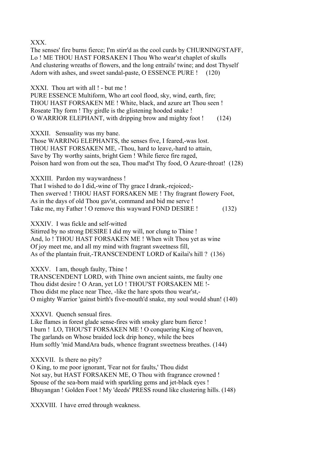XXX.

The senses' fire burns fierce; I'm stirr'd as the cool curds by CHURNING'STAFF, Lo ! ME THOU HAST FORSAKEN I Thou Who wear'st chaplet of skulls And clustering wreaths of flowers, and the long entrails' twine; and dost Thyself Adorn with ashes, and sweet sandal-paste, O ESSENCE PURE ! (120)

XXXI. Thou art with all  $!$  - but me !

PURE ESSENCE Multiform, Who art cool flood, sky, wind, earth, fire; THOU HAST FORSAKEN ME ! White, black, and azure art Thou seen ! Roseate Thy form ! Thy girdle is the glistening hooded snake ! O WARRIOR ELEPHANT, with dripping brow and mighty foot ! (124)

XXXII. Sensuality was my bane.

Those WARRING ELEPHANTS, the senses five, I feared,-was lost. THOU HAST FORSAKEN ME, -Thou, hard to leave,-hard to attain, Save by Thy worthy saints, bright Gem ! While fierce fire raged, Poison hard won from out the sea, Thou mad'st Thy food, O Azure-throat! (128)

XXXIII. Pardon my waywardness !

That I wished to do I did,-wine of Thy grace I drank,-rejoiced;- Then swerved ! THOU HAST FORSAKEN ME ! Thy fragrant flowery Foot, As in the days of old Thou gav'st, command and bid me serve ! Take me, my Father ! O remove this wayward FOND DESIRE ! (132)

XXXIV. I was fickle and self-witted

Sitirred by no strong DESIRE I did my will, nor clung to Thine ! And, lo ! THOU HAST FORSAKEN ME ! When wilt Thou yet as wine Of joy meet me, and all my mind with fragrant sweetness fill, As of the plantain fruit,-TRANSCENDENT LORD of Kailai's hill ? (136)

XXXV. I am, though faulty, Thine !

TRANSCENDENT LORD, with Thine own ancient saints, me faulty one Thou didst desire ! O Aran, yet LO ! THOU'ST FORSAKEN ME !- Thou didst me place near Thee, -like the hare spots thou wear'st,-O mighty Warrior 'gainst birth's five-mouth'd snake, my soul would shun! (140)

XXXVI. Quench sensual fires.

Like flames in forest glade sense-fires with smoky glare burn fierce ! I burn ! LO, THOU'ST FORSAKEN ME ! O conquering King of heaven, The garlands on Whose braided lock drip honey, while the bees Hum softly 'mid MandAra buds, whence fragrant sweetness breathes. (144)

XXXVII. Is there no pity?

O King, to me poor ignorant, 'Fear not for faults,' Thou didst Not say, but HAST FORSAKEN ME, O Thou with fragrance crowned ! Spouse of the sea-born maid with sparkling gems and jet-black eyes ! Bhuyangan ! Golden Foot ! My 'deeds' PRESS round like clustering hills. (148)

XXXVIII. I have erred through weakness.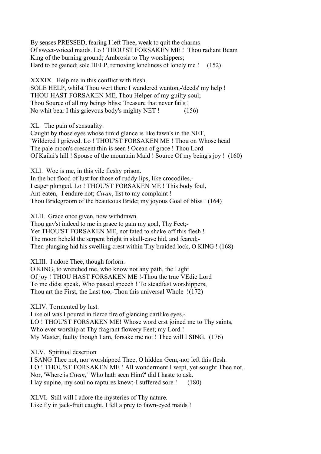By senses PRESSED, fearing I left Thee, weak to quit the charms Of sweet-voiced maids. Lo ! THOU'ST FORSAKEN ME ! Thou radiant Beam King of the burning ground; Ambrosia to Thy worshippers; Hard to be gained; sole HELP, removing loneliness of lonely me ! (152)

XXXIX. Help me in this conflict with flesh. SOLE HELP, whilst Thou wert there I wandered wanton,-'deeds' my help ! THOU HAST FORSAKEN ME, Thou Helper of my guilty soul; Thou Source of all my beings bliss; Treasure that never fails ! No whit bear I this grievous body's mighty NET ! (156)

XL. The pain of sensuality.

Caught by those eyes whose timid glance is like fawn's in the NET, 'Wildered I grieved. Lo ! THOU'ST FORSAKEN ME ! Thou on Whose head The pale moon's crescent thin is seen ! Ocean of grace ! Thou Lord Of Kailai's hill ! Spouse of the mountain Maid ! Source Of my being's joy ! (160)

XLI. Woe is me, in this vile fleshy prison.

In the hot flood of lust for those of ruddy lips, like crocodiles,- I eager plunged. Lo ! THOU'ST FORSAKEN ME ! This body foul, Ant-eaten, -I endure not; *Civan*, list to my complaint ! Thou Bridegroom of the beauteous Bride; my joyous Goal of bliss ! (164)

XLII. Grace once given, now withdrawn.

Thou gav'st indeed to me in grace to gain my goal, Thy Feet;- Yet THOU'ST FORSAKEN ME, not fated to shake off this flesh ! The moon beheld the serpent bright in skull-cave hid, and feared;- Then plunging hid his swelling crest within Thy braided lock, O KING ! (168)

XLIII. I adore Thee, though forlorn.

O KING, to wretched me, who know not any path, the Light Of joy ! THOU HAST FORSAKEN ME !-Thou the true VEdic Lord To me didst speak, Who passed speech ! To steadfast worshippers, Thou art the First, the Last too,-Thou this universal Whole !(172)

XLIV. Tormented by lust.

Like oil was I poured in fierce fire of glancing dartlike eyes,- LO ! THOU'ST FORSAKEN ME! Whose word erst joined me to Thy saints, Who ever worship at Thy fragrant flowery Feet; my Lord ! My Master, faulty though I am, forsake me not ! Thee will I SING. (176)

XLV. Spiritual desertion

I SANG Thee not, nor worshipped Thee, O hidden Gem,-nor left this flesh. LO ! THOU'ST FORSAKEN ME ! All wonderment I wept, yet sought Thee not, Nor, 'Where is *Civan*,' 'Who hath seen Him?' did I haste to ask. I lay supine, my soul no raptures knew;-I suffered sore ! (180)

XLVI. Still will I adore the mysteries of Thy nature. Like fly in jack-fruit caught, I fell a prey to fawn-eyed maids !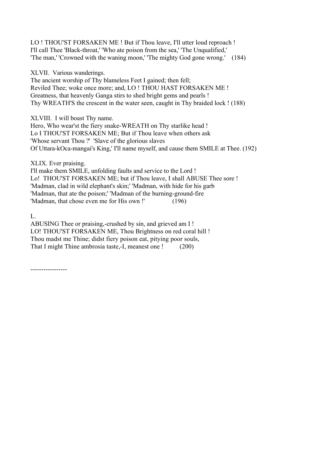LO ! THOU'ST FORSAKEN ME ! But if Thou leave, I'll utter loud reproach ! I'll call Thee 'Black-throat,' 'Who ate poison from the sea,' 'The Unqualified,' 'The man,' 'Crowned with the waning moon,' 'The mighty God gone wrong.' (184)

XLVII. Various wanderings.

The ancient worship of Thy blameless Feet I gained; then fell; Reviled Thee; woke once more; and, LO ! THOU HAST FORSAKEN ME ! Greatness, that heavenly Ganga stirs to shed bright gems and pearls ! Thy WREATH'S the crescent in the water seen, caught in Thy braided lock ! (188)

XLVIII. I will boast Thy name.

Hero, Who wear'st the fiery snake-WREATH on Thy starlike head ! Lo I THOU'ST FORSAKEN ME; But if Thou leave when others ask 'Whose servant Thou ?' 'Slave of the glorious slaves Of Uttara-kOca-mangai's King,' I'll name myself, and cause them SMILE at Thee. (192)

XLIX. Ever praising.

I'll make them SMILE, unfolding faults and service to the Lord ! Lo! THOU'ST FORSAKEN ME; but if Thou leave, I shall ABUSE Thee sore ! 'Madman, clad in wild elephant's skin;' 'Madman, with hide for his garb 'Madman, that ate the poison;' 'Madman of the burning-ground-fire 'Madman, that chose even me for His own !' (196)

L.

ABUSING Thee or praising,-crushed by sin, and grieved am I ! LO! THOU'ST FORSAKEN ME, Thou Brightness on red coral hill ! Thou madst me Thine; didst fiery poison eat, pitying poor souls, That I might Thine ambrosia taste,-I, meanest one ! (200)

-----------------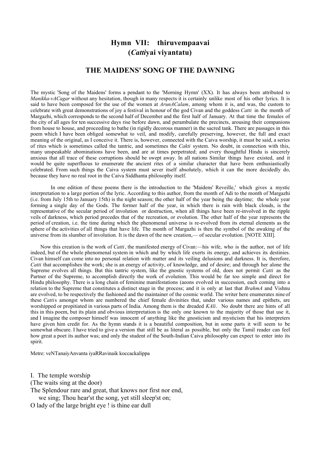# **Hymn VII: thiruvempaavai (***Catti***yai viyantatu)**

## **THE MAIDENS' SONG OF THE DAWNING**

The mystic 'Song of the Maidens' forms a pendant to the 'Morning Hymn' (XX). It has always been attributed to *Manikka-vACagar* without any hesitation, though in many respects it is certainly unlike most of his other lyrics. It is said to have been composed for the use of the women at *ArunACalam*, among whom it is, and was, the custom to celebrate with great demonstrations of joy a festival in honour of the god Civan and the goddess *Catti* in the month of Margazhi, which corresponds to the second half of December and the first half of January. At that time the females of the city of all ages for ten successive days rise before dawn, and perambulate the precincts, arousing their companions from house to house, and proceeding to bathe (in rigidly decorous manner) in the sacred tank. There are passages in this poem which I have been obliged somewhat to veil, and modify, carefully preserving, however, the full and exact meaning of the original, as I conceive it. There is, however, connected with the Caiva worship, it must be said, a series of rites which is sometimes called the tantric, and sometimes the *Cakti* system. No doubt, in connection with this, many unspeakable abominations have been, and are at times perpetrated; and every thoughtful Hindu is sincerely anxious that all trace of these corruptions should be swept away. In all nations Similar things have existed, and it would be quite superfluous to enumerate the ancient rites of a similar character that have been enthusiastically celebrated. From such things the Caiva system must sever itself absolutely, which it can the more decidedly do, because they have no real root in the Caiva Siddhanta philosophy itself.

 In one edition of these poems there is the introduction to the 'Maidens' Reveille,' which gives a mystic interpretation to a large portion of the lyric. According to this author, from the month of Adi to the month of Margazhi (i.e. from July 15th to January 15th) is the night season; the other half of the year being the daytime; the whole year forming a single day of the Gods. The former half of the year, in which there is rain with black clouds, is the representative of the secular period of involution or destruction, when all things have been re-involved in the ripple veils of darkness, which period precedes that of the recreation, or evolution. The other half of the year represents the period of creation, i.e. the time during which the phenomenal universe is re-evolved from its eternal elements as the sphere of the activities of all things that have life. The month of Margazhi is then the symbol of the awaking of the universe from its slumber of involution. It is the dawn of the new creation,— of secular evolution. [NOTE XIII].

 Now this creation is the work of *Catti*, the manifested energy of Civan:—his wife, who is the author, not of life indeed, but of the whole phenomenal system in which and by which life exerts its energy, and achieves its destinies. Civan himself can come into no personal relation with matter and its veiling delusions and darkness. It is, therefore, *Catti* that accomplishes the work; she is an energy of activity, of knowledge, and of desire; and through her alone the Supreme evolves all things. But this tantric system, like the gnostic systems of old, does not permit *Catti* as the Partner of the Supreme, to accomplish directly the work of evolution. This would be far too simple and direct for Hindu philosophy. There is a long chain of feminine manifestations (aeons evolved in succession, each coming into a relation to the Supreme that constitutes a distinct stage in the process; and it is only at last that *BrahmA* and Vishnu are evolved, to be respectively the fashioned and the maintainer of the cosmic world. The writer here enumerates nine of these *Catti*s amongst whom are numbered the chief female divinities that, under various names and epithets, are worshipped or propitiated in various parts of India. Among them is the dreaded *KAli*. No doubt there are hints of all this in this poem, but its plain and obvious interpretation is the only one known to the majority of those that use it, and I imagine the composer himself was innocent of anything like the gnosticism and mysticism that his interpreters have given him credit for. As the hymn stands it is a beautiful composition, but in some parts it will seem to be somewhat obscure. I have tried to give a version that still be as literal as possible, but only the Tamil reader can feel how great a poet its author was; and only the student of the South-Indian Caiva philosophy can expect to enter into its spirit.

Metre: veNTanaiyAnvanta iyaRRavinaik koccackalippa

I. The temple worship

(The waits sing at the door)

The Splendour rare and great, that knows nor first nor end,

we sing; Thou hear'st the song, yet still sleep'st on;

O lady of the large bright eye ! is thine ear dull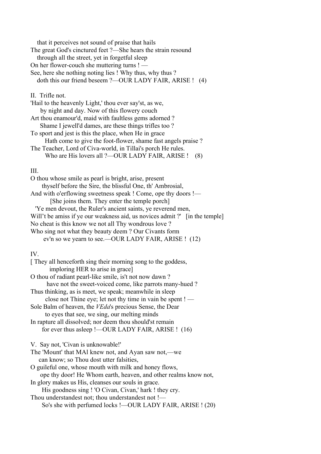that it perceives not sound of praise that hails The great God's cinctured feet ?—She hears the strain resound through all the street, yet in forgetful sleep On her flower-couch she muttering turns ! — See, here she nothing noting lies ! Why thus, why thus ? doth this our friend beseem ?—OUR LADY FAIR, ARISE ! (4) II. Trifle not. 'Hail to the heavenly Light,' thou ever say'st, as we, by night and day. Now of this flowery couch Art thou enamour'd, maid with faultless gems adorned ? Shame I jewell'd dames, are these things trifles too ? To sport and jest is this the place, when He in grace Hath come to give the foot-flower, shame fast angels praise ? The Teacher, Lord of Civa-world, in Tillai's porch He rules. Who are His lovers all ?—OUR LADY FAIR, ARISE ! (8)

## III.

| O thou whose smile as pearl is bright, arise, present                       |
|-----------------------------------------------------------------------------|
| thyself before the Sire, the blissful One, th' Ambrosial,                   |
| And with o'erflowing sweetness speak ! Come, ope thy doors !—               |
| [She joins them. They enter the temple porch]                               |
| 'Ye men devout, the Ruler's ancient saints, ye reverend men,                |
| Will't be amiss if ye our weakness aid, us novices admit ?' [in the temple] |
| No cheat is this know we not all Thy wondrous love?                         |
| Who sing not what they beauty deem? Our Civants form                        |
| ev'n so we yearn to see.—OUR LADY FAIR, ARISE ! (12)                        |
|                                                                             |

## IV.

| [They all henceforth sing their morning song to the goddess,<br>imploring HER to arise in grace] |  |
|--------------------------------------------------------------------------------------------------|--|
| O thou of radiant pearl-like smile, is't not now dawn?                                           |  |
| have not the sweet-voiced come, like parrots many-hued?                                          |  |
| Thus thinking, as is meet, we speak; meanwhile in sleep                                          |  |
| close not Thine eye; let not thy time in vain be spent ! —                                       |  |
| Sole Balm of heaven, the <i>VEda</i> 's precious Sense, the Dear                                 |  |
| to eyes that see, we sing, our melting minds                                                     |  |
| In rapture all dissolved; nor deem thou should'st remain                                         |  |
| for ever thus asleep !—OUR LADY FAIR, ARISE ! (16)                                               |  |
| V. Say not, 'Civan is unknowable!'                                                               |  |
| The 'Mount' that MAI knew not, and Ayan saw not,—we                                              |  |
| can know; so Thou dost utter falsities,                                                          |  |
| O guileful one, whose mouth with milk and honey flows,                                           |  |
| ope thy door! He Whom earth, heaven, and other realms know not,                                  |  |
| In glory makes us His, cleanses our souls in grace.                                              |  |
| His goodness sing ! 'O Civan, Civan,' hark ! they cry.                                           |  |
| Thou understandest not; thou understandest not !—                                                |  |
| So's she with perfumed locks !—OUR LADY FAIR, ARISE ! (20)                                       |  |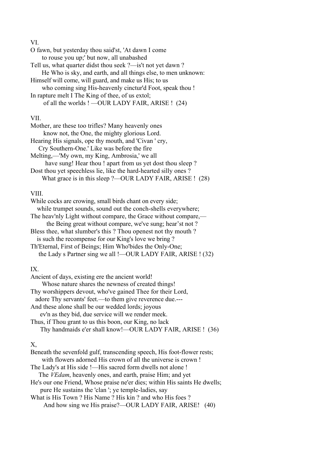#### VI.

| O fawn, but yesterday thou said'st, 'At dawn I come            |
|----------------------------------------------------------------|
| to rouse you up;' but now, all unabashed                       |
| Tell us, what quarter didst thou seek ?—is't not yet dawn ?    |
| He Who is sky, and earth, and all things else, to men unknown: |
| Himself will come, will guard, and make us His; to us          |
| who coming sing His-heavenly cinctur'd Foot, speak thou !      |
| In rapture melt I The King of thee, of us extol;               |
| of all the worlds ! —OUR LADY FAIR, ARISE ! (24)               |
|                                                                |

## VII.

| Mother, are these too trifles? Many heavenly ones               |
|-----------------------------------------------------------------|
| know not, the One, the mighty glorious Lord.                    |
| Hearing His signals, ope thy mouth, and 'Civan ' cry,           |
| Cry Southern-One.' Like was before the fire                     |
| Melting,—'My own, my King, Ambrosia,' we all                    |
| have sung! Hear thou! apart from us yet dost thou sleep?        |
| Dost thou yet speechless lie, like the hard-hearted silly ones? |
| What grace is in this sleep ?—OUR LADY FAIR, ARISE ! (28)       |

## VIII.

| While cocks are crowing, small birds chant on every side;       |
|-----------------------------------------------------------------|
| while trumpet sounds, sound out the conch-shells everywhere;    |
| The heav'nly Light without compare, the Grace without compare,— |
| the Being great without compare, we've sung; hear'st not ?      |
| Bless thee, what slumber's this? Thou openest not thy mouth?    |
| is such the recompense for our King's love we bring?            |
| Th'Eternal, First of Beings; Him Who'bides the Only-One;        |
| the Lady s Partner sing we all !- OUR LADY FAIR, ARISE ! (32)   |
|                                                                 |

# IX.

| Ancient of days, existing ere the ancient world!                        |
|-------------------------------------------------------------------------|
| Whose nature shares the newness of created things!                      |
| Thy worshippers devout, who've gained Thee for their Lord,              |
| adore Thy servants' feet.—to them give reverence due.---                |
| And these alone shall be our wedded lords; joyous                       |
| ev'n as they bid, due service will we render meek.                      |
| Thus, if Thou grant to us this boon, our King, no lack                  |
| Thy handmaids e'er shall know!—OUR LADY FAIR, ARISE ! (36)              |
|                                                                         |
| Х,                                                                      |
| Beneath the sevenfold gulf, transcending speech, His foot-flower rests; |
| with flowers adorned His crown of all the universe is crown!            |
| The Lady's at His side !—His sacred form dwells not alone !             |

 The *VEdam*, heavenly ones, and earth, praise Him; and yet He's our one Friend, Whose praise ne'er dies; within His saints He dwells; pure He sustains the 'clan '; ye temple-ladies, say

What is His Town ? His Name ? His kin ? and who His foes ? And how sing we His praise?—OUR LADY FAIR, ARISE! (40)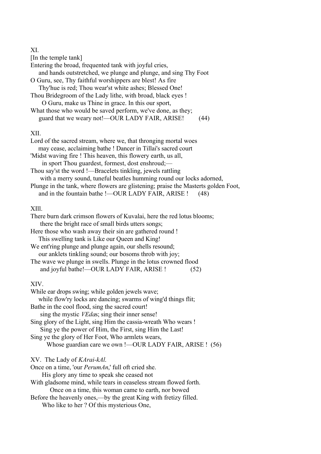#### XI.

[In the temple tank] Entering the broad, frequented tank with joyful cries, and hands outstretched, we plunge and plunge, and sing Thy Foot O Guru, see, Thy faithful worshippers are blest! As fire Thy'hue is red; Thou wear'st white ashes; Blessed One! Thou Bridegroom of the Lady lithe, with broad, black eyes ! O Guru, make us Thine in grace. In this our sport, What those who would be saved perform, we've done, as they; guard that we weary not!—OUR LADY FAIR, ARISE! (44)

#### XII.

| Lord of the sacred stream, where we, that thronging mortal woes                    |
|------------------------------------------------------------------------------------|
| may cease, acclaiming bathe ! Dancer in Tillai's sacred court                      |
| 'Midst waving fire! This heaven, this flowery earth, us all,                       |
| in sport Thou guardest, formest, dost enshroud:—                                   |
| Thou say'st the word !—Bracelets tinkling, jewels rattling                         |
| with a merry sound, tuneful beatles humming round our locks adorned,               |
| Plunge in the tank, where flowers are glistening; praise the Masterts golden Foot, |
| and in the fountain bathe !- OUR LADY FAIR, ARISE !<br>(48)                        |
|                                                                                    |

# XIll.

| There burn dark crimson flowers of Kuvalai, here the red lotus blooms; |  |
|------------------------------------------------------------------------|--|
| there the bright race of small birds utters songs;                     |  |
| Here those who wash away their sin are gathered round !                |  |
| This swelling tank is Like our Queen and King!                         |  |
| We ent'ring plunge and plunge again, our shells resound;               |  |
| our anklets tinkling sound; our bosoms throb with joy;                 |  |
| The wave we plunge in swells. Plunge in the lotus crowned flood        |  |
| and joyful bathe!-- OUR LADY FAIR, ARISE !<br>52)                      |  |
|                                                                        |  |

XIV.

| While ear drops swing; while golden jewels wave;<br>while flow'ry locks are dancing; swarms of wing'd things flit; |
|--------------------------------------------------------------------------------------------------------------------|
| Bathe in the cool flood, sing the sacred court!                                                                    |
| sing the mystic <i>VEdas</i> ; sing their inner sense!                                                             |
| Sing glory of the Light, sing Him the cassia-wreath Who wears!                                                     |
| Sing ye the power of Him, the First, sing Him the Last!                                                            |
| Sing ye the glory of Her Foot, Who armlets wears,                                                                  |
| Whose guardian care we own !—OUR LADY FAIR, ARISE ! (56)                                                           |
| XV. The Lady of <i>KArai-kAl</i> .                                                                                 |
| Once on a time, 'our <i>PerumAn</i> ,' full oft cried she.                                                         |
| His glory any time to speak she ceased not                                                                         |
| With gladsome mind, while tears in ceaseless stream flowed forth.                                                  |
| Once on a time, this woman came to earth, nor bowed                                                                |
| Before the heavenly ones,—by the great King with fretizy filled.                                                   |
| Who like to her? Of this mysterious One,                                                                           |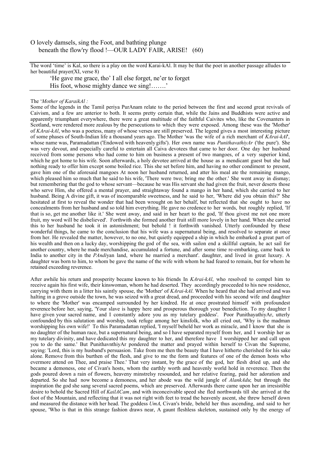#### O lovely damsels, sing the Foot, and bathting plunge beneath the flow'ry flood !—OUR LADY FAIR, ARISE! (60)

The word 'time' is Kal, so there is a play on the word Karai-kAl. It may be that the poet in another passage alludes to her beautiful prayer(XI, verse 8)

'He gave me grace, tho' I all else forget, ne'er to forget His foot, whose mighty dance we sing!…….<sup>'</sup>

#### The '*Mother of KaraikAl :*

Some of the legends in the Tamil periya PurAnam relate to the period between the first and second great revivals of Caivism, and a few are anterior to both. It seems pretty certain that, while the Jains and Buddhists were active and apparently triumphant everywhere, there were a great multitude of the faithful Caivites who, like the Covenanters in Scotland, were rendered more zealous by the persecutions to which they were exposed. Among these was the 'Mother' of *KArai-kAl*, who was a poetess, many of whose verses are still preserved. The legend gives a most interesting picture of some phases of South-Indian life a thousand years ago. The Mother 'was the wife of a rich merchant of *KArai-kAl*', whose name was, Paramadattan ('Endowed with heavenly gifts'). Her own name was *PunithavathiyAr* ('the pure'). She was very devout, and especially careful to entertain all Caiva devotees that came to her door. One day her husband received from some persons who had come to him on business a present of two mangoes, of a very superior kind, which he got home to his wife. Soon afterwards, a holy devotee arrived at the house as a mendicant guest but she had nothing ready to offer him except some boiled rice. This she set before him, and having no other condiment to present, gave him one of the aforesaid mangoes At noon her husband returned, and atter his meal ate the remaining mango, which pleased him so much that he said to his wife, 'There were two; bring me the other.' She went away in dismay; but remembering that the god to whose servant—because he was His servant she had given the fruit, never deserts those who serve Him, she offered a mental prayer, and straightaway found a mango in her hand, which she carried to her husband. Being A divine gift, it was of incomparable sweetness, and he said to her, 'Where did you obtain this?' She hesitated at first to reveal the wonder that had been wrought on her behalf, but reflected that she ought to have no concealments from her husband and so told him everything. He gave no credence to her words, but roughly replied, 'If that is so, get me another like it.' She went away, and said in her heart to the god, 'If thou givest me not one more fruit, my word will be disbelieved'. Forthwith she formed another fruit still more lovely in her hand. When she carried this to her husband he took it in astonishment; but behold ! it forthwith vanished. Utterly confounded by these wonderful things, he came to the conclusion that his wife was a supernatural being, and resolved to separate at once from her. He revealed the matter, however, to no one, but quietly equipped a ship in which he embarked a great part of his wealth and then on a lucky day, worshipping the god of the sea, with sailon end a skillful captain, he act sail for another country, where he made merchandise, accumulated a fortune, and after some time re-embarking, came back to India to another city in the *PAndi*yan land, where he married a merchant'. daughter, and lived in great luxury. A daughter was born to him, to whom be gave the name of the wife with whom he had feared to remain, but for whom he retained exceeding reverence.

After awhile his return and prosperity became known to his friends In *KArai-kAl*, who resolved to compel him to receive again his first wife, their kinswoman, whom he had deserted. They accordingly proceeded to his new residence, carrying with them in a litter his saintly spouse, the 'Mother' of *KArai-kAl*. When he heard that she had arrived and was halting in a grove outside the town, he was seized with a great dread, and proceeded with his second wife and daughter to where the 'Mother' was encamped surrounded by her kindred. He at once prostrated himself with profoundest reverence before her, saying, 'Your slave is happy here and prosperous thorough your benediction. To my daughter I have given your sacred name, and I constantly adore you as my tutelary goddess'. Poor PunithayathiyAr, utterly confounded by this salutation and worship, took refuge among her kinsfolk, who all cried out, 'Why is the madman worshipping his own wife!' To this Paramadattan replied, 'I myself beheld her work as miracle, and I know that she is no daughter of the human race, but a supernatural being, and so I have separated myself from her, and I worship her as my tutelary divinity, and have dedicated this my daughter to her, and therefore have I worshipped her and call upon you to do the same.' But PunithavnthiyAr pondered the matter and prayed within herself to Civan the Supreme, saying: 'Lord, this is my husband's persuasion. Take from me then the beauty that I have hitherto cherished for his sake alone. Remove from this burthen of the flesh, and give to me the form and features of one of the demon hosts who evermore attend on Thee, and praise Thee.' That very instant, by the grace of the god, her flesh dried up, and she became a demoness, one of Civan's hosts, whom the earthly worth and heavenly world hold in reverence. Then the gods poured down a rain of flowers, heaveny minstrelsy resounded, and her relative fearing, paid her adoration and departed. So she had now become a demoness, and her abode was the wild jungle of *AlankAdu*; but through the inspiration the god she sang several sacred poems, which are preserved. Afterwards there came upon her an irresistible desire to behold the Sacred Hill of *KailACam*, and with inconceivable speed she fled northwards till she arrived at the foot of the Mountain, and reflecting that it was not right with feet to tread the heavenly ascent, she threw herself down and measured the distance with her head. The goddess *UmA*, Civan's bride, beheld her thus ascending, and said to her spouse, 'Who is that in this strange fashion draws near, A gaunt fleshless skeleton, sustained only by the energy of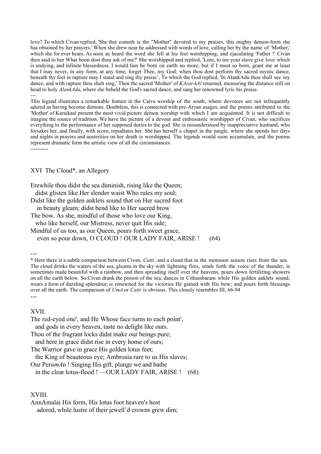love? To which Civan replied, 'She that cometh is the "Mother" devoted to my praises, this mighty demon-form she has obtained by her prayers.' When she drew near he addressed with words of love, calling her by the name of 'Mother,' which she for ever bears. As soon as heard the word she fell at his feet worshipping, and ejaculating 'Father !' Civan then said to her What boon dost thou ask of me?' She worshipped and replied, 'Loni, to me your slave give love which is undying, and infinite blessedness. I would fain be born on earth no more; but if I must so born, grant me at least that I may never, in any form, at any time, forget Thee, my God; when thou dost perform thy sacred mystic dance, beneath thy feet in rapture may I stand and sing thy praise', To which the God replied, 'In AlankAdu thou shall see my dance, and with rapture thou shalt sing.' Then the sacred 'Mother' of *KArai-kAl* returned, measuring the distance still on head to holy *AlankAdu*, where she beheld the God's sacred dance, and sang her renowned lyric his praise. ---

This legend illustrates a remarkable feature in the Caiva worship of the south, where devotees are not infrequently adored as having become demons. Doubtless, this is connected with pre-Aryan usages, and the poems attributed to the 'Mother' of Karaikaal present the most vivid picture demon worship with which I am acquainted. It is not difficult to imagine the source of tradition. We have the picture of a devout and enthusiastic worshipper of Civan, who sacrifices everything to the performance of her supposed duties to the god. She is misunderstood by inappreciative husband, who forsakes her, and finally, with scorn, repudiates her. She has herself a chapel in the jungle, where she spends her days and nights in prayers and austerities on her death is worshipped. The legends would soon accumulate, and the poems represent dramatic form the artistic view of all the circumstances. -----------

XVI The Cloud\*, an Allegory

Erewhile thou didst the sea diminish, rising like the Queen;

didst glisten like Her slender waist Who rules my soul;

Didst like the golden anklets sound that on Her sacred foot

in beauty gleam; didst bend like to Her sacred brow

The bow. As she, mindful of those who love our King,

who like herself, our Mistress, never quit His side;

Mindful of us too, as our Queen, pours forth sweet grace,

even so pour down, O CLOUD ! OUR LADY FAIR, ARISE ! (64)

---

\* Here there is a subtle comparison between Civan, *Catti*, and a cloud that in the monsoon season rises from the sea. The cloud drinks the waters of the sea, gleams in the sky with lightning fires, sends forth the voice of the thunder, is sometimes made beautiful with a rainbow, and then spreading itself over the heavens, pours down fertilizing showers on all the earth below. So Civan drank the poison of the sea; dances in Cithambaram while His golden anklets sound; wears a form of dazzling splendour; is renowned for the victories He gained with His bow; and pours forth blessings over all the earth. The comparison of *UmA* or *Catti* is obvious. This closely resembles III, 66-94 ---

#### XVII.

| The red-eyed one', and He Whose face turns to each point', |
|------------------------------------------------------------|
| and gods in every heaven, taste no delight like ours.      |
| Thou of the fragrant locks didst make our beings pure;     |
| and here in grace didst rise in every home of ours;        |
| The Warrior gave in grace His golden lotus feet;           |
| the King of beauteous eye; Ambrosia rare to us His slaves; |
|                                                            |

Our Per*umA*n ! Singing His gift, plunge we and bathe

in the clear lotus-flood ! —OUR LADY FAIR, ARISE ! (68)

#### XVIII.

AnnAmalai His form, His lotus foot heaven's host adored, while lustre of their jewell'd crowns grew dim;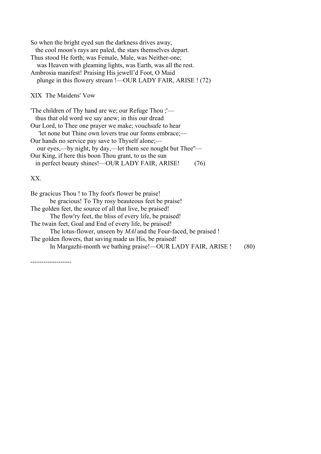| So when the bright eyed sun the darkness drives away,         |
|---------------------------------------------------------------|
| the cool moon's rays are paled, the stars themselves depart.  |
| Thus stood He forth; was Female, Male, was Neither-one;       |
| was Heaven with gleaming lights, was Earth, was all the rest. |
| Ambrosia manifest! Praising His jewell'd Foot, O Maid         |
| plunge in this flowery stream !—OUR LADY FAIR, ARISE ! (72)   |
|                                                               |

XIX The Maidens' Vow

| "The children of Thy hand are we; our Refuge Thou ;"-      |  |
|------------------------------------------------------------|--|
| thus that old word we say anew; in this our dread          |  |
| Our Lord, to Thee one prayer we make; vouchsafe to hear    |  |
| "let none but Thine own lovers true our forms embrace;—    |  |
| Our hands no service pay save to Thyself alone;—           |  |
| our eyes,—by night, by day,—let them see nought but Thee"— |  |
| Our King, if here this boon Thou grant, to us the sun      |  |
| in perfect beauty shines!—OUR LADY FAIR, ARISE!<br>76)     |  |

XX.

-------------------

| Be gracicus Thou ! to Thy foot's flower be praise!                      |      |
|-------------------------------------------------------------------------|------|
| be gracious! To Thy rosy beauteous feet be praise!                      |      |
| The golden feet, the source of all that live, be praised!               |      |
| The flow'ry feet, the bliss of every life, be praised!                  |      |
| The twain feet, Goal and End of every life, be praised!                 |      |
| The lotus-flower, unseen by <i>MAl</i> and the Four-faced, be praised ! |      |
| The golden flowers, that saving made us His, be praised!                |      |
| In Margazhi-month we bathing praise!—OUR LADY FAIR, ARISE!              | (80) |
|                                                                         |      |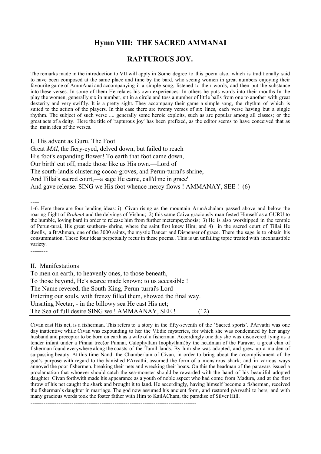# **Hymn VIII: THE SACRED AMMANAI**

## **RAPTUROUS JOY.**

The remarks made in the introduction to VII will apply in Some degree to this poem also, which is traditionally said to have been composed at the same place and time by the bard, who seeing women in great numbers enjoying their favourite game of AmmAnai and accompanying it a simple song, listened to their words, and then put the substance into these verses. In some of them He relates his own experiences: In others he puts words into their mouths In the play the women, generally six in number, sit in a circle and toss a number of little balls from one to another with great dexterity and very swiftly. It is a pretty sight. They accompany their game a simple song, the rhythm of which is suited to the action of the players. In this case there are twenty verses of six lines, each verse having but a single rhythm. The subject of such verse .... generally some heroic exploits, such as are popular among all classes; or the great acts of a deity. Here the title of 'rapturous joy' has been prefixed, as the editor seems to have conceived that as the main idea of the verses.

I. His advent as Guru. The Foot

Great *MAl*, the fiery-eyed, delved down, but failed to reach His foot's expanding flower! To earth that foot came down, Our birth' cut off, made those like us His own.—Lord of The south-landis clustering cocoa-groves, and Perun-turrai's shrine, And Tillai's sacred court,—a sage He came, call'd me in grace' And gave release. SING we His foot whence mercy flows ! AMMANAY, SEE ! (6)

---- 1-6. Here there are four lending ideas: i) Civan rising as the mountain ArunAchalam passed above and below the roaring flight of *BrahmA* and the delvings of Vishnu; 2) this same Caiva graciously manifested Himself as a GURU to the humble, loving bard in order to release him from further metempsychosis; 3) He is also worshipped in the temple of Perun-turai, His great southern- shrine, where the saint first knew Him; and 4) in the sacred court of Tillai He dwells, a BrAhman, one of the 3000 saints, the mystic Dancer and Dispenser of grace. There the sage is to obtain his consummation. These four ideas perpetually recur in these poems.. This is un unfailing topic treated with inexhaustible variety.

II. Manifestations

--------

To men on earth, to heavenly ones, to those beneath, To those beyond, He's scarce made known; to us accessible ! The Name revered, the South-King, Perun-turrai's Lord Entering our souls, with frenzy filled them, showed the final way. Unsating Nectar, - in the billowy sea He cast His net; The Sea of full desire SING we ! AMMAANAY, SEE ! (12)

Civan cast His net, is a fisherman. This refers to a story in the fifty-seventh of the 'Sacred sports'. PArvathi was one day inattentive while Civan was expounding to her the VEdic mysteries, for which she was condemned by her angry husband and preceptor to be born on earth as a wife of a fisherman. Accordingly one day she was discovered lying as a tender infant under a Pinnai tree(or Punnai, Calophyllam Inophyllam)by the headman of the Paravar, a great clan of fisherman found everywhere along the coasts of the Tamil lands. By him she was adopted, and grew up a maiden of surpassing beauty. At this time Nandi the Chamberlain of Civan, in order to bring about the accomplishment of the god's purpose with regard to the banished PArvathi, assumed the form of a monstrous shark; and in various ways annoyed the poor fishermen, breaking their nets and wrecking their boats. On this the headman of the paravars issued a proclamation that whoever should catch the sea-monster should be rewarded with the hand of his beautiful adopted daughter. Civan forthwith made his appearance as a youth of noble aspect who had come from Madura, and at the first throw of his net caught the shark and brought it to land. He accordingly, having himself become a fisherman, received the fisherman's daughter in marriage. The god now assumed his ancient form, and restored pArvathi to hers, and with many gracious words took the foster father with Him to KailACham, the paradise of Silver Hill.

-----------------------------------------------------------------------------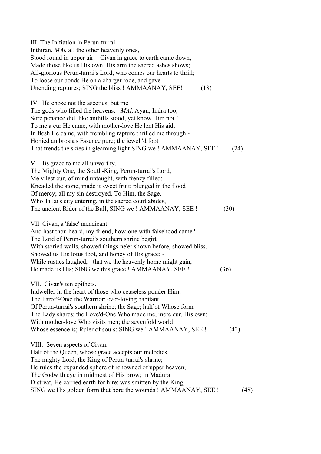| III. The Initiation in Perun-turrai<br>Inthiran, <i>MAI</i> , all the other heavenly ones,                                                                                                                                                                                                                                                                                                                |      |
|-----------------------------------------------------------------------------------------------------------------------------------------------------------------------------------------------------------------------------------------------------------------------------------------------------------------------------------------------------------------------------------------------------------|------|
| Stood round in upper air; - Civan in grace to earth came down,<br>Made those like us His own. His arm the sacred ashes shows;                                                                                                                                                                                                                                                                             |      |
| All-glorious Perun-turrai's Lord, who comes our hearts to thrill;<br>To loose our bonds He on a charger rode, and gave                                                                                                                                                                                                                                                                                    |      |
| Unending raptures; SING the bliss ! AMMAANAY, SEE!<br>(18)                                                                                                                                                                                                                                                                                                                                                |      |
| IV. He chose not the ascetics, but me!<br>The gods who filled the heavens, - MAl, Ayan, Indra too,<br>Sore penance did, like anthills stood, yet know Him not !<br>To me a cur He came, with mother-love He lent His aid;                                                                                                                                                                                 |      |
| In flesh He came, with trembling rapture thrilled me through -<br>Honied ambrosia's Essence pure; the jewell'd foot                                                                                                                                                                                                                                                                                       |      |
| That trends the skies in gleaming light SING we ! AMMAANAY, SEE !                                                                                                                                                                                                                                                                                                                                         | (24) |
| V. His grace to me all unworthy.<br>The Mighty One, the South-King, Perun-turrai's Lord,<br>Me vilest cur, of mind untaught, with frenzy filled;<br>Kneaded the stone, made it sweet fruit; plunged in the flood<br>Of mercy; all my sin destroyed. To Him, the Sage,<br>Who Tillai's city entering, in the sacred court abides,<br>The ancient Rider of the Bull, SING we! AMMAANAY, SEE!                | (30) |
|                                                                                                                                                                                                                                                                                                                                                                                                           |      |
| VII Civan, a 'false' mendicant<br>And hast thou heard, my friend, how-one with falsehood came?<br>The Lord of Perun-turrai's southern shrine begirt<br>With storied walls, showed things ne'er shown before, showed bliss,<br>Showed us His lotus foot, and honey of His grace; -<br>While rustics laughed, - that we the heavenly home might gain,                                                       |      |
| He made us His; SING we this grace ! AMMAANAY, SEE !                                                                                                                                                                                                                                                                                                                                                      | (36) |
| VII. Civan's ten epithets.<br>Indweller in the heart of those who ceaseless ponder Him;<br>The Faroff-One; the Warrior; ever-loving habitant<br>Of Perun-turrai's southern shrine; the Sage; half of Whose form<br>The Lady shares; the Love'd-One Who made me, mere cur, His own;<br>With mother-love Who visits men; the sevenfold world<br>Whose essence is; Ruler of souls; SING we ! AMMAANAY, SEE ! | (42) |
| VIII. Seven aspects of Civan.<br>Half of the Queen, whose grace accepts our melodies,<br>The mighty Lord, the King of Perun-turrai's shrine; -<br>He rules the expanded sphere of renowned of upper heaven;<br>The Godwith eye in midmost of His brow; in Madura                                                                                                                                          |      |
| Distreat, He carried earth for hire; was smitten by the King, -<br>SING we His golden form that bore the wounds ! AMMAANAY, SEE !                                                                                                                                                                                                                                                                         | (48) |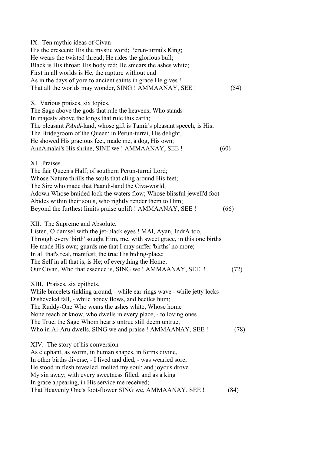| IX. Ten mythic ideas of Civan<br>His the crescent; His the mystic word; Perun-turrai's King;<br>He wears the twisted thread; He rides the glorious bull;<br>Black is His throat; His body red; He smears the ashes white;<br>First in all worlds is He, the rapture without end<br>As in the days of yore to ancient saints in grace He gives !<br>That all the worlds may wonder, SING ! AMMAANAY, SEE !                             | (54) |
|---------------------------------------------------------------------------------------------------------------------------------------------------------------------------------------------------------------------------------------------------------------------------------------------------------------------------------------------------------------------------------------------------------------------------------------|------|
| X. Various praises, six topics.<br>The Sage above the gods that rule the heavens; Who stands<br>In majesty above the kings that rule this earth;<br>The pleasant <i>PAndi</i> -land, whose gift is Tamir's pleasant speech, is His;<br>The Bridegroom of the Queen; in Perun-turrai, His delight,<br>He showed His gracious feet, made me, a dog, His own;<br>AnnAmalai's His shrine, SINE we ! AMMAANAY, SEE !                       | (60) |
| XI. Praises.<br>The fair Queen's Half; of southern Perun-turrai Lord;<br>Whose Nature thrills the souls that cling around His feet;<br>The Sire who made that Paandi-land the Civa-world;<br>Adown Whose braided lock the waters flow; Whose blissful jewell'd foot<br>Abides within their souls, who rightly render them to Him;<br>Beyond the furthest limits praise uplift ! AMMAANAY, SEE !                                       | (66) |
| XII. The Supreme and Absolute.<br>Listen, O damsel with the jet-black eyes ! MAI, Ayan, IndrA too,<br>Through every 'birth' sought Him, me, with sweet grace, in this one births<br>He made His own; guards me that I may suffer 'births' no more;<br>In all that's real, manifest; the true His biding-place;<br>The Self in all that is, is He; of everything the Home;<br>Our Civan, Who that essence is, SING we! AMMAANAY, SEE ! | (72) |
| XIII. Praises, six epithets.<br>While bracelets tinkling around, - while ear-rings wave - while jetty locks<br>Disheveled fall, - while honey flows, and beetles hum;<br>The Ruddy-One Who wears the ashes white, Whose home<br>None reach or know, who dwells in every place, - to loving ones<br>The True, the Sage Whom hearts untrue still deem untrue,<br>Who in Ai-Aru dwells, SING we and praise ! AMMAANAY, SEE !             | (78) |
| XIV. The story of his conversion<br>As elephant, as worm, in human shapes, in forms divine,<br>In other births diverse, - I lived and died, - was wearied sore;<br>He stood in flesh revealed, melted my soul; and joyous drove<br>My sin away; with every sweetness filled; and as a king<br>In grace appearing, in His service me received;<br>That Heavenly One's foot-flower SING we, AMMAANAY, SEE !                             | (84) |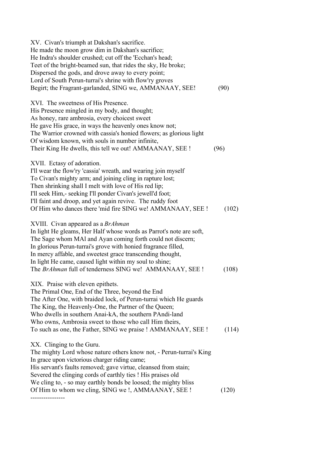| XV. Civan's triumph at Dakshan's sacrifice.<br>He made the moon grow dim in Dakshan's sacrifice;<br>He Indra's shoulder crushed; cut off the 'Ecchan's head;<br>Teet of the bright-beamed sun, that rides the sky, He broke;<br>Dispersed the gods, and drove away to every point;<br>Lord of South Perun-turrai's shrine with flow'ry groves<br>Begirt; the Fragrant-garlanded, SING we, AMMANAAY, SEE!                             | (90)  |
|--------------------------------------------------------------------------------------------------------------------------------------------------------------------------------------------------------------------------------------------------------------------------------------------------------------------------------------------------------------------------------------------------------------------------------------|-------|
| XVI. The sweetness of His Presence.<br>His Presence mingled in my body, and thought;<br>As honey, rare ambrosia, every choicest sweet<br>He gave His grace, in ways the heavenly ones know not;<br>The Warrior crowned with cassia's honied flowers; as glorious light<br>Of wisdom known, with souls in number infinite,<br>Their King He dwells, this tell we out! AMMAANAY, SEE !                                                 | (96)  |
| XVII. Ectasy of adoration.<br>I'll wear the flow'ry 'cassia' wreath, and wearing join myself<br>To Civan's mighty arm; and joining cling in rapture lost;<br>Then shrinking shall I melt with love of His red lip;<br>I'll seek Him,- seeking I'll ponder Civan's jewell'd foot;<br>I'll faint and droop, and yet again revive. The ruddy foot<br>Of Him who dances there 'mid fire SING we! AMMANAAY, SEE !                         | (102) |
| XVIII. Civan appeared as a <i>BrAhman</i><br>In light He gleams, Her Half whose words as Parrot's note are soft,<br>The Sage whom MAI and Ayan coming forth could not discern;<br>In glorious Perun-turrai's grove with honied fragrance filled,<br>In mercy affable, and sweetest grace transcending thought,<br>In light He came, caused light within my soul to shine;<br>The BrAhman full of tenderness SING we! AMMANAAY, SEE ! | (108) |
| XIX. Praise with eleven epithets.<br>The Primal One, End of the Three, beyond the End<br>The After One, with braided lock, of Perun-turrai which He guards<br>The King, the Heavenly-One, the Partner of the Queen;<br>Who dwells in southern Anai-kA, the southern PAndi-land<br>Who owns, Ambrosia sweet to those who call Him theirs,<br>To such as one, the Father, SING we praise ! AMMANAAY, SEE !                             | (114) |
| XX. Clinging to the Guru.<br>The mighty Lord whose nature others know not, - Perun-turrai's King<br>In grace upon victorious charger riding came;<br>His servant's faults removed; gave virtue, cleansed from stain;<br>Severed the clinging cords of earthly ties ! His praises old<br>We cling to, - so may earthly bonds be loosed; the mighty bliss<br>Of Him to whom we cling, SING we !, AMMAANAY, SEE !                       | (120) |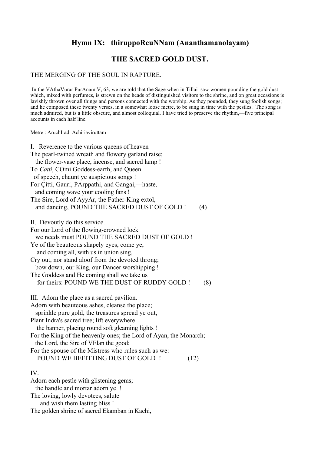# **Hymn IX: thiruppoRcuNNam (Ananthamanolayam)**

## **THE SACRED GOLD DUST.**

#### THE MERGING OF THE SOUL IN RAPTURE.

 In the VAthaVurar PurAnam V, 63, we are told that the Sage when in Tillai saw women pounding the gold dust which, mixed with perfumes, is strewn on the heads of distinguished visitors to the shrine, and on great occasions is lavishly thrown over all things and persons connected with the worship. As they pounded, they sung foolish songs; and he composed these twenty verses, in a somewhat loose metre, to be sung in time with the pestles. The song is much admired, but is a little obscure, and almost colloquial. I have tried to preserve the rhythm,—five principal accounts in each half line.

Metre : AruchIradi Achiriaviruttam

| I. Reverence to the various queens of heaven<br>The pearl-twined wreath and flowery garland raise;         |  |
|------------------------------------------------------------------------------------------------------------|--|
| the flower-vase place, incense, and sacred lamp !                                                          |  |
| To Catti, COmi Goddess-earth, and Queen                                                                    |  |
| of speech, chaunt ye auspicious songs !                                                                    |  |
| For Çitti, Gauri, PArppathi, and Gangai,—haste,                                                            |  |
| and coming wave your cooling fans !                                                                        |  |
| The Sire, Lord of AyyAr, the Father-King extol,                                                            |  |
| and dancing, POUND THE SACRED DUST OF GOLD !<br>(4)                                                        |  |
| II. Devoutly do this service.                                                                              |  |
| For our Lord of the flowing-crowned lock                                                                   |  |
| we needs must POUND THE SACRED DUST OF GOLD !                                                              |  |
| Ye of the beauteous shapely eyes, come ye,<br>and coming all, with us in union sing,                       |  |
| Cry out, nor stand aloof from the devoted throng;                                                          |  |
| bow down, our King, our Dancer worshipping !                                                               |  |
| The Goddess and He coming shall we take us                                                                 |  |
| for theirs: POUND WE THE DUST OF RUDDY GOLD !<br>(8)                                                       |  |
| III. Adorn the place as a sacred pavilion.                                                                 |  |
| Adorn with beauteous ashes, cleanse the place;                                                             |  |
| sprinkle pure gold, the treasures spread ye out,                                                           |  |
| Plant Indra's sacred tree; lift everywhere<br>the banner, placing round soft gleaming lights!              |  |
| For the King of the heavenly ones; the Lord of Ayan, the Monarch;<br>the Lord, the Sire of VElan the good; |  |
| For the spouse of the Mistress who rules such as we:                                                       |  |
| POUND WE BEFITTING DUST OF GOLD !<br>(12)                                                                  |  |
| <b>TT T</b>                                                                                                |  |

#### IV.

Adorn each pestle with glistening gems; the handle and mortar adorn ye ! The loving, lowly devotees, salute and wish them lasting bliss ! The golden shrine of sacred Ekamban in Kachi,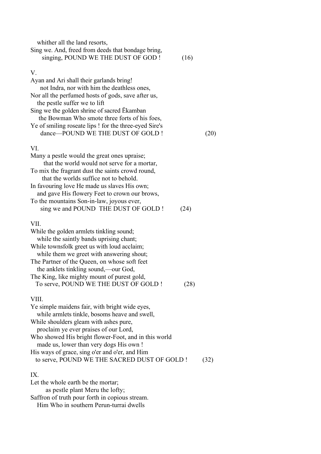| whither all the land resorts,<br>Sing we. And, freed from deeds that bondage bring,<br>singing, POUND WE THE DUST OF GOD !                                                                                                                                                                                                                                                             | (16) |      |
|----------------------------------------------------------------------------------------------------------------------------------------------------------------------------------------------------------------------------------------------------------------------------------------------------------------------------------------------------------------------------------------|------|------|
| V.<br>Ayan and Ari shall their garlands bring!<br>not Indra, nor with him the deathless ones,<br>Nor all the perfumed hosts of gods, save after us,<br>the pestle suffer we to lift<br>Sing we the golden shrine of sacred Ekamban<br>the Bowman Who smote three forts of his foes,<br>Ye of smiling roseate lips ! for the three-eyed Sire's<br>dance-POUND WE THE DUST OF GOLD !     |      | (20) |
| VI.<br>Many a pestle would the great ones upraise;<br>that the world would not serve for a mortar,<br>To mix the fragrant dust the saints crowd round,<br>that the worlds suffice not to behold.<br>In favouring love He made us slaves His own;<br>and gave His flowery Feet to crown our brows,<br>To the mountains Son-in-law, joyous ever,<br>sing we and POUND THE DUST OF GOLD ! | (24) |      |
| VII.<br>While the golden armlets tinkling sound;<br>while the saintly bands uprising chant;<br>While townsfolk greet us with loud acclaim;<br>while them we greet with answering shout;<br>The Partner of the Queen, on whose soft feet<br>the anklets tinkling sound,—our God,<br>The King, like mighty mount of purest gold,<br>To serve, POUND WE THE DUST OF GOLD !                | (28) |      |
| VIII.<br>Ye simple maidens fair, with bright wide eyes,<br>while armlets tinkle, bosoms heave and swell,<br>While shoulders gleam with ashes pure,<br>proclaim ye ever praises of our Lord,                                                                                                                                                                                            |      |      |

Who showed His bright flower-Foot, and in this world made us, lower than very dogs His own ! His ways of grace, sing o'er and o'er, and Him to serve, POUND WE THE SACRED DUST OF GOLD ! (32)

#### IX.

Let the whole earth be the mortar; as pestle plant Meru the lofty; Saffron of truth pour forth in copious stream. Him Who in southern Perun-turrai dwells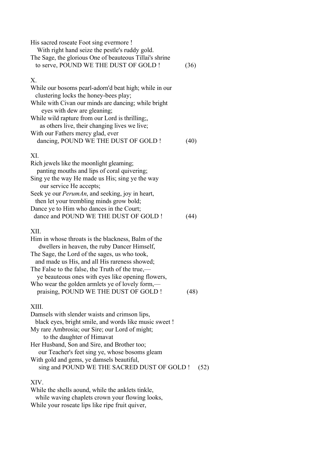| His sacred roseate Foot sing evermore !<br>With right hand seize the pestle's ruddy gold.<br>The Sage, the glorious One of beauteous Tillai's shrine<br>to serve, POUND WE THE DUST OF GOLD !                                                                                                                                                                                                                    | (36) |
|------------------------------------------------------------------------------------------------------------------------------------------------------------------------------------------------------------------------------------------------------------------------------------------------------------------------------------------------------------------------------------------------------------------|------|
| X.<br>While our bosoms pearl-adorn'd beat high; while in our<br>clustering locks the honey-bees play;<br>While with Civan our minds are dancing; while bright<br>eyes with dew are gleaning;<br>While wild rapture from our Lord is thrilling;<br>as others live, their changing lives we live;<br>With our Fathers mercy glad, ever<br>dancing, POUND WE THE DUST OF GOLD !                                     | (40) |
| XI.<br>Rich jewels like the moonlight gleaming;<br>panting mouths and lips of coral quivering;<br>Sing ye the way He made us His; sing ye the way<br>our service He accepts;<br>Seek ye our <i>PerumAn</i> , and seeking, joy in heart,<br>then let your trembling minds grow bold;<br>Dance ye to Him who dances in the Court;<br>dance and POUND WE THE DUST OF GOLD !                                         | (44) |
| XII.<br>Him in whose throats is the blackness, Balm of the<br>dwellers in heaven, the ruby Dancer Himself,<br>The Sage, the Lord of the sages, us who took,<br>and made us His, and all His rareness showed;<br>The False to the false, the Truth of the true,—<br>ye beauteous ones with eyes like opening flowers,<br>Who wear the golden armlets ye of lovely form,—<br>praising, POUND WE THE DUST OF GOLD ! | (48) |
| XIII.<br>Damsels with slender waists and crimson lips,<br>black eyes, bright smile, and words like music sweet!<br>My rare Ambrosia; our Sire; our Lord of might;<br>to the daughter of Himavat                                                                                                                                                                                                                  |      |

Her Husband, Son and Sire, and Brother too;

our Teacher's feet sing ye, whose bosoms gleam

With gold and gems, ye damsels beautiful,

sing and POUND WE THE SACRED DUST OF GOLD ! (52)

## XIV.

While the shells aound, while the anklets tinkle, while waving chaplets crown your flowing looks, While your roseate lips like ripe fruit quiver,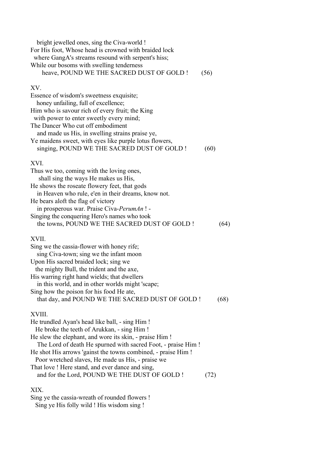bright jewelled ones, sing the Civa-world ! For His foot, Whose head is crowned with braided lock where GangA's streams resound with serpent's hiss; While our bosoms with swelling tenderness heave, POUND WE THE SACRED DUST OF GOLD ! (56) XV. Essence of wisdom's sweetness exquisite; honey unfailing, full of excellence; Him who is savour rich of every fruit; the King with power to enter sweetly every mind: The Dancer Who cut off embodiment and made us His, in swelling strains praise ye, Ye maidens sweet, with eyes like purple lotus flowers, singing, POUND WE THE SACRED DUST OF GOLD ! (60) XVI. Thus we too, coming with the loving ones, shall sing the ways He makes us His, He shows the roseate flowery feet, that gods in Heaven who rule, e'en in their dreams, know not. He bears aloft the flag of victory in prosperous war. Praise Civa-*PerumAn* ! - Singing the conquering Hero's names who took the towns, POUND WE THE SACRED DUST OF GOLD ! (64) XVII. Sing we the cassia-flower with honey rife; sing Civa-town; sing we the infant moon Upon His sacred braided lock; sing we the mighty Bull, the trident and the axe, His warring right hand wields; that dwellers in this world, and in other worlds might 'scape; Sing how the poison for his food He ate, that day, and POUND WE THE SACRED DUST OF GOLD ! (68) XVIII. He trundled Ayan's head like ball, - sing Him ! He broke the teeth of Arukkan, - sing Him ! He slew the elephant, and wore its skin, - praise Him ! The Lord of death He spurned with sacred Foot, - praise Him ! He shot His arrows 'gainst the towns combined, - praise Him ! Poor wretched slaves, He made us His, - praise we That love ! Here stand, and ever dance and sing, and for the Lord, POUND WE THE DUST OF GOLD ! (72)

# XIX.

Sing ye the cassia-wreath of rounded flowers ! Sing ye His folly wild ! His wisdom sing !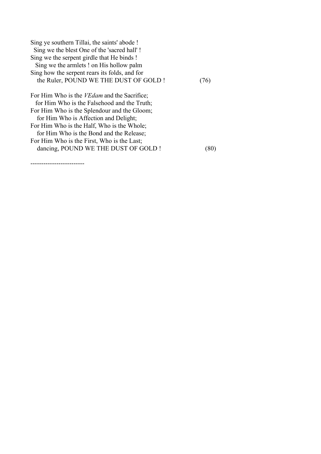| Sing ye southern Tillai, the saints' abode !       |              |
|----------------------------------------------------|--------------|
| Sing we the blest One of the 'sacred hall'!        |              |
| Sing we the serpent girdle that He binds!          |              |
| Sing we the armlets ! on His hollow palm           |              |
| Sing how the serpent rears its folds, and for      |              |
| the Ruler, POUND WE THE DUST OF GOLD!              | $76^{\circ}$ |
| For Him Who is the <i>VEdam</i> and the Sacrifice; |              |
| for Him Who is the Falsehood and the Truth;        |              |
| For Him Who is the Splendour and the Gloom;        |              |
| for Him Who is Affection and Delight;              |              |
| For Him Who is the Half, Who is the Whole;         |              |
| for Him Who is the Bond and the Release;           |              |
| For Him Who is the First, Who is the Last;         |              |
| dancing, POUND WE THE DUST OF GOLD!                |              |

-------------------------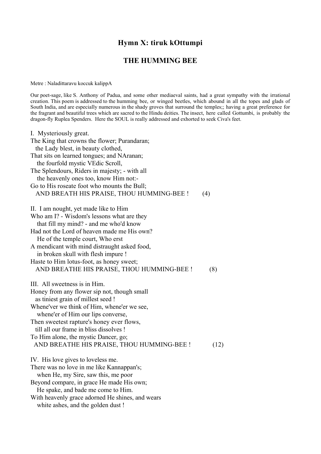## **Hymn X: tiruk kOttumpi**

#### **THE HUMMING BEE**

Metre : Naladittaravu koccuk kalippA

Our poet-sage, like S. Anthony of Padua, and some other mediaeval saints, had a great sympathy with the irrational creation. This poem is addressed to the humming bee, or winged beetles, which abound in all the topes and glads of South India, and are especially numerous in the shady groves that surround the temples;; having a great preference for the fragrant and beautiful trees which are sacred to the Hindu deities. The insect, here called Gottumbi, is probably the dragon-fly Ruplea Spenders. Here the SOUL is really addressed and exhorted to seek Civa's feet.

I. Mysteriously great. The King that crowns the flower; Purandaran; the Lady blest, in beauty clothed, That sits on learned tongues; and NAranan; the fourfold mystic VEdic Scroll, The Splendours, Riders in majesty; - with all the heavenly ones too, know Him not:- Go to His roseate foot who mounts the Bull; AND BREATH HIS PRAISE, THOU HUMMING-BEE ! (4) II. I am nought, yet made like to Him Who am I? - Wisdom's lessons what are they that fill my mind? - and me who'd know Had not the Lord of heaven made me His own? He of the temple court, Who erst A mendicant with mind distraught asked food, in broken skull with flesh impure ! Haste to Him lotus-foot, as honey sweet; AND BREATHE HIS PRAISE, THOU HUMMING-BEE ! (8) III. All sweetness is in Him. Honey from any flower sip not, though small as tiniest grain of millest seed ! Whene'ver we think of Him, whene'er we see, whene'er of Him our lips converse, Then sweetest rapture's honey ever flows, till all our frame in bliss dissolves ! To Him alone, the mystic Dancer, go; AND BREATHE HIS PRAISE, THOU HUMMING-BEE ! (12) IV. His love gives to loveless me. There was no love in me like Kannappan's; when He, my Sire, saw this, me poor Beyond compare, in grace He made His own; He spake, and bade me come to Him. With heavenly grace adorned He shines, and wears white ashes, and the golden dust !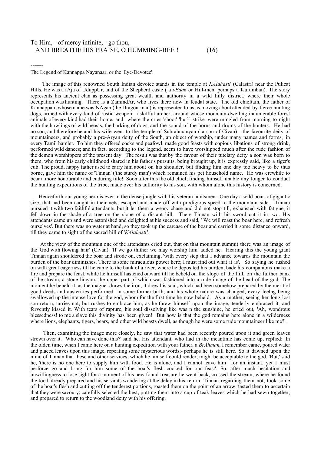#### To Him, - of mercy infinite, - go thou, AND BREATHE HIS PRAISE, O HUMMING-BEE !  $(16)$

The Legend of Kannappa Nayanaar, or the 'Eye-Devotee'.

------

 The image of this renowned South Indian devotee stands in the temple at *KAlahasti* (Calastri) near the Pulicat Hills. He was a rAja of UduppUr, and of the Shepherd caste ( a *vEda*n or Hill-men, perhaps a Kurumban). The story represents his ancient clan as possessing great wealth and authority in a wild hilly district, where their whole occupation was hunting. There is a ZamindAr, who lives there now in feudal state. The old chieftain, the father of Kannappan, whose name was NAgan (the Dragon-man) is represented to us as moving about attended by fierce hunting dogs, armed with every kind of rustic weapon; a skillful archer, around whose mountain-dwelling innumerable forest animals of every kind had their home, and where the cries 'shoot' 'hurl' 'strike' were mingled from morning to night with the howlings of wild beasts, the barking of dogs, and the sound of the horns and drums of the hunters. He had no son, and therefore he and his wife went to the temple of Subrahmanyan ( a son of Civan) - the favourite deity of mountaineers, and probably a pre-Aryan deity of the South, an object of worship, under many names and forms, in every Tamil hamlet. To him they offered cocks and peafowl, made good feasts with copious libations of strong drink, performed wild dances; and in fact, according to the legend, seem to have worshipped much after the rude fashion of the demon worshippers of the present day. The result was that by the favour of their tutelary deity a son was born to them, who from his early childhood shared in his father's pursuits, being brought up, it is expressly said, like a tiger's cub. The proud, happy father used to carry him about on his shoulder, but finding him one day too heavy to be thus borne, gave him the name of 'Tinnan' ('the sturdy man') which remained his pet household name. He was erewhile to bear a more honourable and enduring title! Soon after this the old chief, finding himself unable any longer to conduct the hunting expeditions of the tribe, made over his authority to his son, with whom alone this history is concerned.

 Henceforth our young hero is ever in the dense jungle with his veteran huntsmen. One day a wild boar, of gigantic size, that had been caught in their nets, escaped and made off with prodigious speed to the mountain side. Tinnan pursued it with two faithful attendants, but it let them a weary chase and did not stop till, exhausted with fatigue, it fell down in the shade of a tree on the slope of a distant hill. There Tinnan with his sword cut it in two. His attendants came up and were astonished and delighted at his success and said, ' We will roast the boar here, and refresh ourselves'. But there was no water at hand, so they took up the carcase of the boar and carried it some distance onward, till they came to sight of the sacred hill of '*KAlahasti*'.

 At the view of the mountain one of the attendants cried out, that on that mountain summit there was an image of the 'God with flowing hair' (Civan). 'If we go thither we may worship him' added he. Hearing this the young giant Tinnan again shouldered the boar and strode on, exclaiming, 'with every step that I advance towards the mountain the burden of the boar diminishes. There is some miraculous power here; I must find out what it is'. So saying he rushed on with great eagerness till he came to the bank of a river, where he deposited his burden, bade his companions make a fire and prepare the feast, while he himself hastened onward till he beheld on the slope of the hill, on the further bank of the stream, a stone lingam, the upper part of which was fashioned into a rude image of the head of the god. The moment he beheld it, as the magnet draws the iron, it drew his soul, which had been somehow prepared by the merit of good deeds and austerities performed in some former birth; and his whole nature was changed, every feelng being swallowed up the intense love for the god, whom for the first time he now beheld. As a mother, seeing her long lost son return, tarries not, but rushes to embrace him, as he threw himself upon the image, tenderly embraced it, and fervently kissed it. With tears of rapture, his soul dissolving like was n the sunshine, he cried out, 'Ah, wondrous blessedness! to me a slave this divinity has been given! But how is that the god remains here alone in a wilderness where lions, elephants, tigers, bears, and other wild beasts dwell, as though he were some rude mountaineer like me?'.

 Then, examining the image more closely, he saw that water had been recently poured upon it and green leaves strewn over it. 'Who can have done this?' said he. His attendant, who had in the meantime has come up, replied: 'In the olden time, when I came here on a hunting expedition with your father, a *BrAhman*, I remember came, poured water and placed leaves upon this image, repeating some mysterious words;- perhaps he is still here. So it dawned upon the mind of Tinnan that these and other services, which he himself could render, might be acceptable to the god. 'But,' said he, 'there is no one here to supply him with food. He is alone, and I cannot leave him for an instant, yet I must perforce go and bring for him some of the boar's flesh cooked for our feast'. So, after much hesitation and unwillingness to lose sight for a moment of his new found treasure he went back, crossed the stream, where he found the food already prepared and his servants wondering at the delay in his return. Tinnan regarding them not, took some of the boar's flesh and cutting off the tenderest portions, roasted them on the point of an arrow; tasted them to ascertain that they were savoury; carefully selected the best, putting them into a cup of teak leaves which he had sewn together; and prepared to return to the woodland deity with his offering.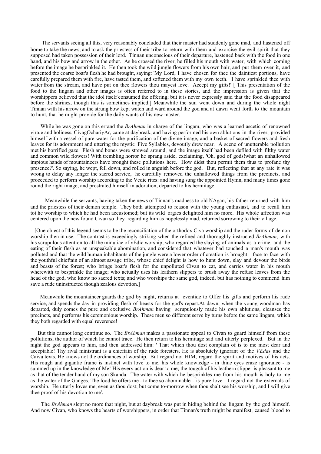The servants seeing all this, very reasonably concluded that their master had suddenly gone mad, and hastened off home to take the news, and to ask the priestess of their tribe to return with them and exorcise the evil spirit that they supposed had taken possession of their lord. Tinnan unconscious of their departure, hastened back with the food in one hand, and his bow and arrow in the other. As he crossed the river, he filled his mouth with water, with which coming before the image he besprinkled it. He then took the wild jungle flowers from his own hair, and put them over it, and presented the coarse boar's flesh he had brought, saying: 'My Lord, I have chosen for thee the daintiest portions, have carefully prepared them with fire, have tasted them, and softened them with my own teeth. I have sprinkled thee with water from the stream, and have put on thee flowers thou mayest love. Accept my gifts!' [ This presentation of the food to the lingam and other images is often referred to in these stories, and the impression is given that the worshippers believed that the idol itself consumed the offering; but it is never expressly said that the food disappeared before the shrines, though this is sometimes implied.] Meanwhile the sun went down and during the whole night Tinnan with his arrow on the strung bow kept watch and ward around the god and at dawn went forth to the mountain to hunt, that he might provide for the daily wants of his new master.

While he was gone on this errand the *BrAhman* in charge of the lingam, who was a learned ascetic of renowned virtue and holiness, CivagOchariyAr, came at daybreak, and having performed his own ablutions in the river, provided himself with a vessel of pure water for the purification of the divine image, and a basket of sacred flowers and fresh leaves for its adornment and uttering the mystic Five Syllables, devoutly drew near. A scene of unutterable pollution met his horrified gaze. Flesh and bones were strewed around, and the image itself had been defiled with filthy water and common wild flowers! With trembling horror he sprang aside, exclaiming, 'Oh, god of gods!what an unhallowed impious hands of mountaineers have brought these pollutions here. How didst thou permit them thus to profane thy presence?'. So saying, he wept, fell down, and rolled in anguish before the god. But, reflecting that at any rate it was wrong to delay any longer the sacred service, he carefully removed the unhallowed things from the precincts, and proceeded to perform worship according to the Vedic rites: and having sung the appointed Hymn, and many times gone round the right image, and prostrated himself in adoration, departed to his hermitage.

 Meanwhile the servants, having taken the news of Tinnan's madness to old NAgan, his father returned with him and the priestess of their demon temple. They both attempted to reason with the young enthusiast, and to recall him tot he worship to which he had been accustomed; but its wild orgies delighted him no more. His whole affection was centered upon the new found Civan so they regarding him as hopelessly mad, returned sorrowing to their village.

 [One object of this legend seems to be the reconciliation of the orthodox Civa worship and the ruder forms of demon worship then in use. The contrast is exceedingly striking when the refined and thoroughly instructed *BrAhman*, with his scrupulous attention to all the minutiae of vEdic worship, who regarded the slaying of animals as a crime, and the eating of their flesh as an unspeakable abomination, and considered that whatever had touched a man's mouth was polluted and that the wild human inhabitants of the jungle were a lower order of creation is brought face to face with the youthful chieftain of an almost savage tribe, whose chief delight is how to hunt down, slay and devour the birds and beasts of the forest; who brings boar's flesh for the unpolluted Civan to eat, and carries water in his mouth wherewith to besprinkle the image; who actually uses his leathern slippers to brush away the refuse leaves from the head of the god, who know no sacred texts; and who worships the same god, indeed, but has nothing to commend him save a rude uninstructed though zealous devotion.]

 Meanwhile the mountaineer guards the god by night, returns at eventide to Offer his gifts and perform his rude service, and spends the day in providing flesh of beasts for the god's repast.At dawn, when the young woodman has departed, duly comes the pure and exclusive *BrAhman* having scrupulously made his own ablutions, cleanses the precincts, and performs his ceremonious worship. These men so different serve by turns before the same lingam, which they both regarded with equal reverence!

 But this cannot long continue so. The *BrAhman* makes a passionate appeal to Civan to guard himself from these pollutions, the author of which he cannot trace. He then return to his hermitage sad and utterly perplexed. But in the night the god appears to him, and then addressed him: ' That which thou dost complain of is to me most dear and acceptable! Thy rival ministrant is a chieftain of the rude foresters. He is absolutely ignorant of the *VEda*s and the Caiva texts. He knows not the ordinances of worship. But regard not HIM, regard the spirit and motives of his acts. His rough and gigantic frame is instinct with love to me, his whole knowledge - in thine eyes craze ignorance - is summed up in the knowledge of Me! His every action is dear to me; the tougch of his leathern slipper is pleasant to me as that of the tender hand of my son Skanda. The water with which he besprinkles me from his mouth is holy to me as the water of the Ganges. The food he offers me - to thee so abominable - is pure love. I regard not the externals of worship. He utterly loves me, even as thou dost; but come to-morrow when thou shalt see his worship, and I will give thee proof of his devotion to me'.

 The *BrAhman* slept no more that night, but at daybreak was put in hiding behind the lingam by the god himself. And now Civan, who knows the hearts of worshippers, in order that Tinnan's truth might be manifest, caused blood to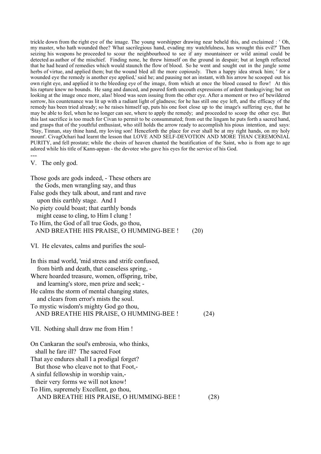trickle down from the right eye of the image. The young worshipper drawing near beheld this, and exclaimed : ' Oh, my master, who hath wounded thee? What sacrilegious hand, evading my watchfulness, has wrought this evil?' Then seizing his weapons he proceeded to scour the neighbourhood to see if any mountaineer or wild animal could be detected as author of the mischief. Finding none, he threw himself on the ground in despair; but at length reflected that he had heard of remedies which would staunch the flow of blood. So he went and sought out in the jungle some herbs of virtue, and applied them; but the wound bled all the more copiously. Then a happy idea struck him; ' for a wounded eye the remedy is another eye applied,' said he; and pausing not an instant, with his arrow he scooped out his own right eye, and applied it to the bleeding eye of the image, from which at once the blood ceased to flow! At this his rapture knew no bounds. He sang and danced, and poured forth uncouth expressions of ardent thanksgiving; but on looking at the image once more, alas! blood was seen issuing from the other eye. After a moment or two of bewildered sorrow, his countenance was lit up with a radiant light of gladness; for he has still one eye left, and the efficacy of the remedy has been tried already; so he raises himself up, puts his one foot close up to the image's suffering eye, that he may be able to feel, when he no longer can see, where to apply the remedy; and proceeded to scoop the other eye. But this last sacrifice is too much for Civan to permit to be consummated; from out the lingam he puts forth a sacred hand, and grasps that of the youthful enthusiast, who still holds the arrow ready to accomplish his pious intention, and says: 'Stay, Tinnan, stay thine hand, my loving son! Henceforth the place for ever shall be at my right hands, on my holy mount'. CivagOchari had learnt the lesson that LOVE AND SELF-DEVOTION AND MORE THAN CEREMONIAL PURITY, and fell prostate; while the choirs of heaven chanted the beatification of the Saint, who is from age to age adored while his title of Kann-appan - the devotee who gave his eyes for the service of his God.

V. The only god.

---

| Those gods are gods indeed, - These others are<br>the Gods, men wrangling say, and thus               |      |
|-------------------------------------------------------------------------------------------------------|------|
|                                                                                                       |      |
| False gods they talk about, and rant and rave<br>upon this earthly stage. And I                       |      |
| No piety could boast; that earthly bonds<br>might cease to cling, to Him I clung!                     |      |
| To Him, the God of all true Gods, go thou,                                                            |      |
| AND BREATHE HIS PRAISE, O HUMMING-BEE !                                                               | (20) |
| VI. He elevates, calms and purifies the soul-                                                         |      |
| In this mad world, 'mid stress and strife confused,<br>from birth and death, that ceaseless spring, - |      |
| Where hoarded treasure, women, offspring, tribe,                                                      |      |
| and learning's store, men prize and seek; -                                                           |      |
| He calms the storm of mental changing states,                                                         |      |
| and clears from error's mists the soul.                                                               |      |
| To mystic wisdom's mighty God go thou,                                                                |      |
| AND BREATHE HIS PRAISE, O HUMMING-BEE !                                                               | (24) |
| VII. Nothing shall draw me from Him!                                                                  |      |
| On Cankaran the soul's embrosia, who thinks,                                                          |      |
| shall he fare ill? The sacred Foot                                                                    |      |
| That aye endures shall I a prodigal forget?                                                           |      |
| But those who cleave not to that Foot,-                                                               |      |
| A sinful fellowship in worship vain,-                                                                 |      |
| their very forms we will not know!                                                                    |      |
| To Him, supremely Excellent, go thou,                                                                 |      |
| AND BREATHE HIS PRAISE, O HUMMING-BEE !                                                               | (28) |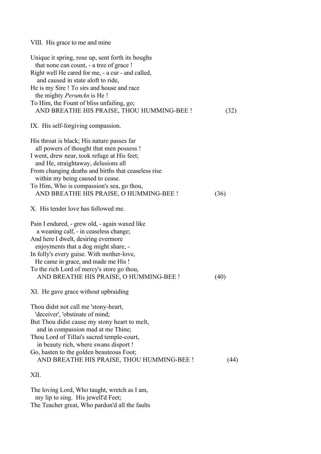# VIII. His grace to me and mine

| Unique it spring, rose up, sent forth its boughs<br>that none can count, - a tree of grace !<br>Right well He cared for me, - a cur - and called,<br>and caused in state aloft to ride,<br>He is my Sire! To sirs and house and race<br>the mighty <i>PerumAn</i> is He!<br>To Him, the Fount of bliss unfailing, go;<br>AND BREATHE HIS PRAISE, THOU HUMMING-BEE ! | (32) |
|---------------------------------------------------------------------------------------------------------------------------------------------------------------------------------------------------------------------------------------------------------------------------------------------------------------------------------------------------------------------|------|
| IX. His self-forgiving compassion.                                                                                                                                                                                                                                                                                                                                  |      |
| His throat is black; His nature passes far<br>all powers of thought that men possess !<br>I went, drew near, took refuge at His feet;<br>and He, straightaway, delusions all<br>From changing deaths and births that ceaseless rise<br>within my being caused to cease.<br>To Him, Who is compassion's sea, go thou,<br>AND BREATHE HIS PRAISE, O HUMMING-BEE !     | (36) |
| X. His tender love has followed me.                                                                                                                                                                                                                                                                                                                                 |      |
| Pain I endured, - grew old, - again waxed like<br>a weaning calf, - in ceaseless change;<br>And here I dwelt, desiring evermore<br>enjoyments that a dog might share, -<br>In folly's every guise. With mother-love,<br>He came in grace, and made me His!<br>To the rich Lord of mercy's store go thou,<br>AND BREATHE HIS PRAISE, O HUMMING-BEE !                 | (40) |
| XI. He gave grace without upbraiding                                                                                                                                                                                                                                                                                                                                |      |
| Thou didst not call me 'stony-heart,<br>'deceiver', 'obstinate of mind;<br>But Thou didst cause my stony heart to melt,<br>and in compassion mad at me Thine;<br>Thou Lord of Tillai's sacred temple-court,<br>in beauty rich, where swans disport !                                                                                                                |      |
| Go, hasten to the golden beauteous Foot;<br>AND BREATHE HIS PRAISE, THOU HUMMING-BEE !                                                                                                                                                                                                                                                                              | (44) |
| XII.                                                                                                                                                                                                                                                                                                                                                                |      |

The loving Lord, Who taught, wretch as I am, my lip to sing. His jewell'd Feet; The Teacher great, Who pardon'd all the faults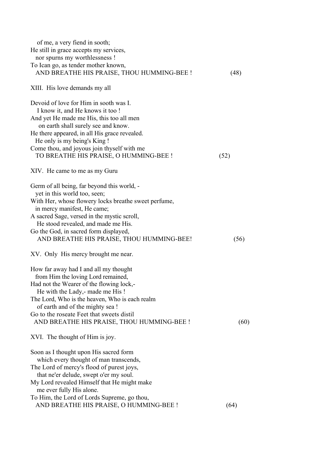| of me, a very fiend in sooth;                                                         |      |
|---------------------------------------------------------------------------------------|------|
| He still in grace accepts my services,                                                |      |
| nor spurns my worthlessness !                                                         |      |
| To Ican go, as tender mother known,                                                   |      |
| AND BREATHE HIS PRAISE, THOU HUMMING-BEE !                                            | (48) |
| XIII. His love demands my all                                                         |      |
| Devoid of love for Him in sooth was I.                                                |      |
| I know it, and He knows it too !                                                      |      |
| And yet He made me His, this too all men                                              |      |
| on earth shall surely see and know.                                                   |      |
| He there appeared, in all His grace revealed.                                         |      |
| He only is my being's King!                                                           |      |
| Come thou, and joyous join thyself with me                                            |      |
| TO BREATHE HIS PRAISE, O HUMMING-BEE !                                                | (52) |
| XIV. He came to me as my Guru                                                         |      |
| Germ of all being, far beyond this world, -                                           |      |
| yet in this world too, seen;                                                          |      |
| With Her, whose flowery locks breathe sweet perfume,                                  |      |
| in mercy manifest, He came;                                                           |      |
| A sacred Sage, versed in the mystic scroll,                                           |      |
| He stood revealed, and made me His.                                                   |      |
| Go the God, in sacred form displayed,                                                 |      |
| AND BREATHE HIS PRAISE, THOU HUMMING-BEE!                                             | (56) |
| XV. Only His mercy brought me near.                                                   |      |
| How far away had I and all my thought                                                 |      |
| from Him the loving Lord remained,                                                    |      |
| Had not the Wearer of the flowing lock,-                                              |      |
| He with the Lady, - made me His!                                                      |      |
| The Lord, Who is the heaven, Who is each realm                                        |      |
| of earth and of the mighty sea!                                                       |      |
| Go to the roseate Feet that sweets distil                                             |      |
| AND BREATHE HIS PRAISE, THOU HUMMING-BEE !                                            | (60) |
| XVI. The thought of Him is joy.                                                       |      |
| Soon as I thought upon His sacred form                                                |      |
| which every thought of man transcends,                                                |      |
| The Lord of mercy's flood of purest joys,                                             |      |
| that ne'er delude, swept o'er my soul.<br>My Lord revealed Himself that He might make |      |
| me ever fully His alone.                                                              |      |
| To Him, the Lord of Lords Supreme, go thou,                                           |      |
| AND BREATHE HIS PRAISE, O HUMMING-BEE !                                               | (64) |
|                                                                                       |      |